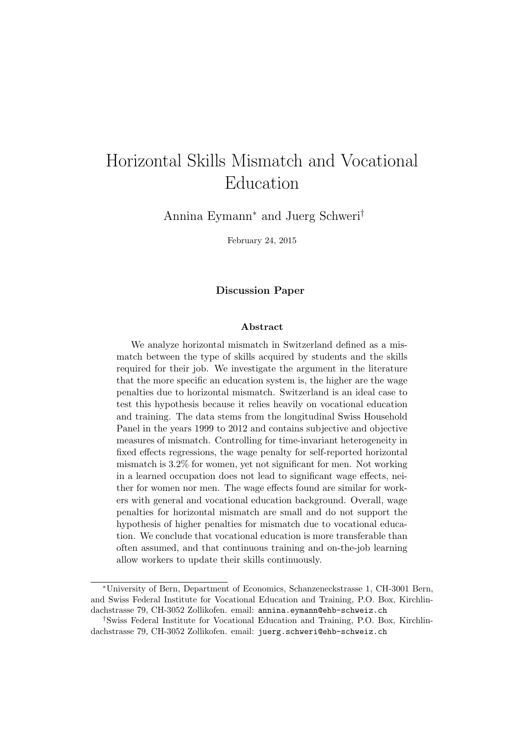## Horizontal Skills Mismatch and Vocational Education

Annina Eymann<sup>∗</sup> and Juerg Schweri†

February 24, 2015

#### Discussion Paper

#### Abstract

We analyze horizontal mismatch in Switzerland defined as a mismatch between the type of skills acquired by students and the skills required for their job. We investigate the argument in the literature that the more specific an education system is, the higher are the wage penalties due to horizontal mismatch. Switzerland is an ideal case to test this hypothesis because it relies heavily on vocational education and training. The data stems from the longitudinal Swiss Household Panel in the years 1999 to 2012 and contains subjective and objective measures of mismatch. Controlling for time-invariant heterogeneity in fixed effects regressions, the wage penalty for self-reported horizontal mismatch is 3.2% for women, yet not significant for men. Not working in a learned occupation does not lead to significant wage effects, neither for women nor men. The wage effects found are similar for workers with general and vocational education background. Overall, wage penalties for horizontal mismatch are small and do not support the hypothesis of higher penalties for mismatch due to vocational education. We conclude that vocational education is more transferable than often assumed, and that continuous training and on-the-job learning allow workers to update their skills continuously.

<sup>∗</sup>University of Bern, Department of Economics, Schanzeneckstrasse 1, CH-3001 Bern, and Swiss Federal Institute for Vocational Education and Training, P.O. Box, Kirchlindachstrasse 79, CH-3052 Zollikofen. email: annina.eymann@ehb-schweiz.ch

<sup>†</sup>Swiss Federal Institute for Vocational Education and Training, P.O. Box, Kirchlindachstrasse 79, CH-3052 Zollikofen. email: juerg.schweri@ehb-schweiz.ch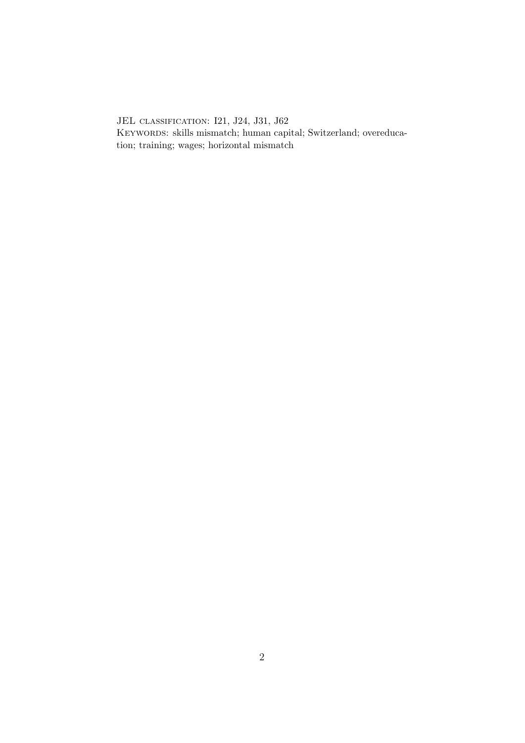JEL classification: I21, J24, J31, J62 KEYWORDS: skills mismatch; human capital; Switzerland; overeducation; training; wages; horizontal mismatch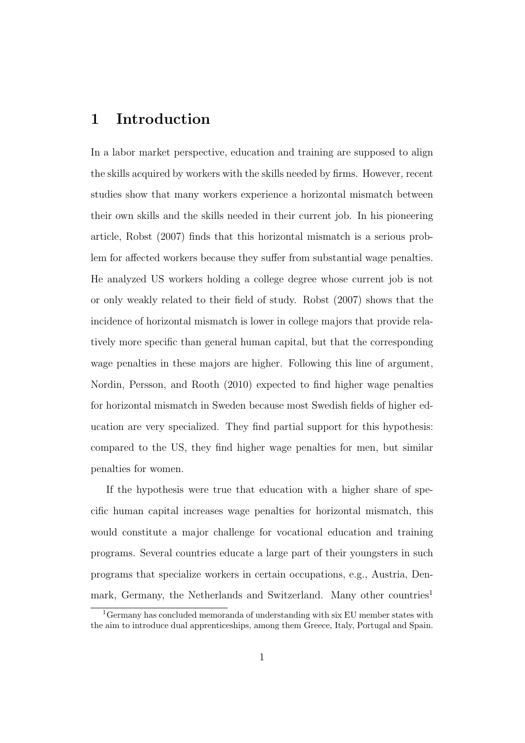## 1 Introduction

In a labor market perspective, education and training are supposed to align the skills acquired by workers with the skills needed by firms. However, recent studies show that many workers experience a horizontal mismatch between their own skills and the skills needed in their current job. In his pioneering article, Robst (2007) finds that this horizontal mismatch is a serious problem for affected workers because they suffer from substantial wage penalties. He analyzed US workers holding a college degree whose current job is not or only weakly related to their field of study. Robst (2007) shows that the incidence of horizontal mismatch is lower in college majors that provide relatively more specific than general human capital, but that the corresponding wage penalties in these majors are higher. Following this line of argument, Nordin, Persson, and Rooth (2010) expected to find higher wage penalties for horizontal mismatch in Sweden because most Swedish fields of higher education are very specialized. They find partial support for this hypothesis: compared to the US, they find higher wage penalties for men, but similar penalties for women.

If the hypothesis were true that education with a higher share of specific human capital increases wage penalties for horizontal mismatch, this would constitute a major challenge for vocational education and training programs. Several countries educate a large part of their youngsters in such programs that specialize workers in certain occupations, e.g., Austria, Denmark, Germany, the Netherlands and Switzerland. Many other countries<sup>1</sup>

<sup>1</sup>Germany has concluded memoranda of understanding with six EU member states with the aim to introduce dual apprenticeships, among them Greece, Italy, Portugal and Spain.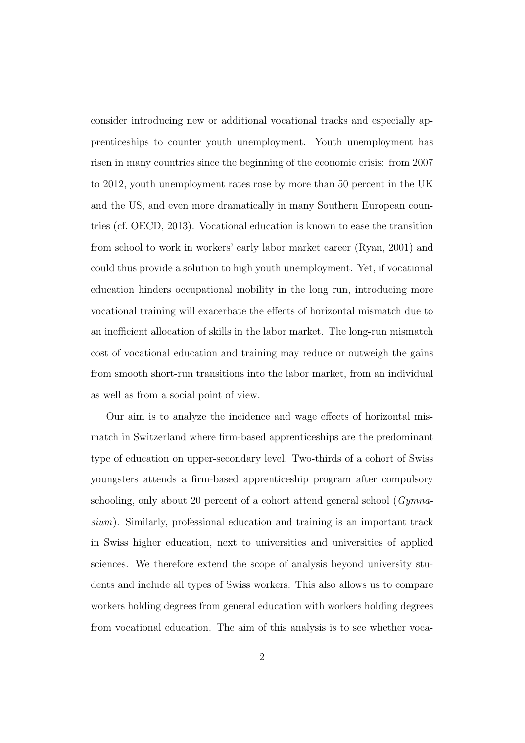consider introducing new or additional vocational tracks and especially apprenticeships to counter youth unemployment. Youth unemployment has risen in many countries since the beginning of the economic crisis: from 2007 to 2012, youth unemployment rates rose by more than 50 percent in the UK and the US, and even more dramatically in many Southern European countries (cf. OECD, 2013). Vocational education is known to ease the transition from school to work in workers' early labor market career (Ryan, 2001) and could thus provide a solution to high youth unemployment. Yet, if vocational education hinders occupational mobility in the long run, introducing more vocational training will exacerbate the effects of horizontal mismatch due to an inefficient allocation of skills in the labor market. The long-run mismatch cost of vocational education and training may reduce or outweigh the gains from smooth short-run transitions into the labor market, from an individual as well as from a social point of view.

Our aim is to analyze the incidence and wage effects of horizontal mismatch in Switzerland where firm-based apprenticeships are the predominant type of education on upper-secondary level. Two-thirds of a cohort of Swiss youngsters attends a firm-based apprenticeship program after compulsory schooling, only about 20 percent of a cohort attend general school (Gymnasium). Similarly, professional education and training is an important track in Swiss higher education, next to universities and universities of applied sciences. We therefore extend the scope of analysis beyond university students and include all types of Swiss workers. This also allows us to compare workers holding degrees from general education with workers holding degrees from vocational education. The aim of this analysis is to see whether voca-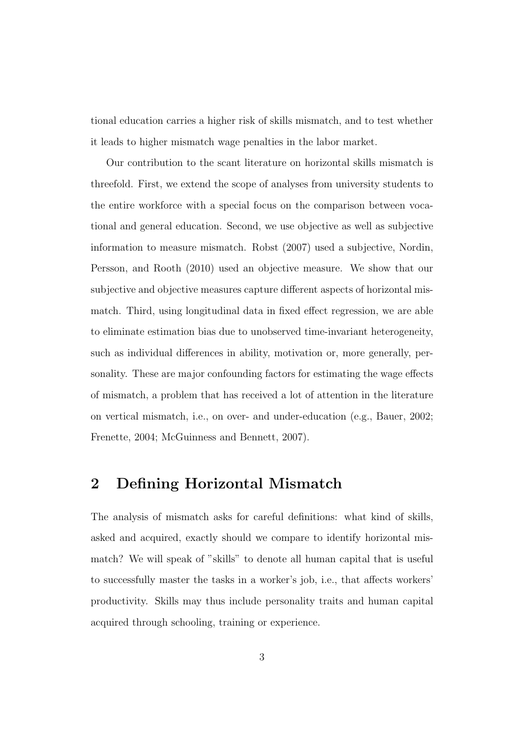tional education carries a higher risk of skills mismatch, and to test whether it leads to higher mismatch wage penalties in the labor market.

Our contribution to the scant literature on horizontal skills mismatch is threefold. First, we extend the scope of analyses from university students to the entire workforce with a special focus on the comparison between vocational and general education. Second, we use objective as well as subjective information to measure mismatch. Robst (2007) used a subjective, Nordin, Persson, and Rooth (2010) used an objective measure. We show that our subjective and objective measures capture different aspects of horizontal mismatch. Third, using longitudinal data in fixed effect regression, we are able to eliminate estimation bias due to unobserved time-invariant heterogeneity, such as individual differences in ability, motivation or, more generally, personality. These are major confounding factors for estimating the wage effects of mismatch, a problem that has received a lot of attention in the literature on vertical mismatch, i.e., on over- and under-education (e.g., Bauer, 2002; Frenette, 2004; McGuinness and Bennett, 2007).

## 2 Defining Horizontal Mismatch

The analysis of mismatch asks for careful definitions: what kind of skills, asked and acquired, exactly should we compare to identify horizontal mismatch? We will speak of "skills" to denote all human capital that is useful to successfully master the tasks in a worker's job, i.e., that affects workers' productivity. Skills may thus include personality traits and human capital acquired through schooling, training or experience.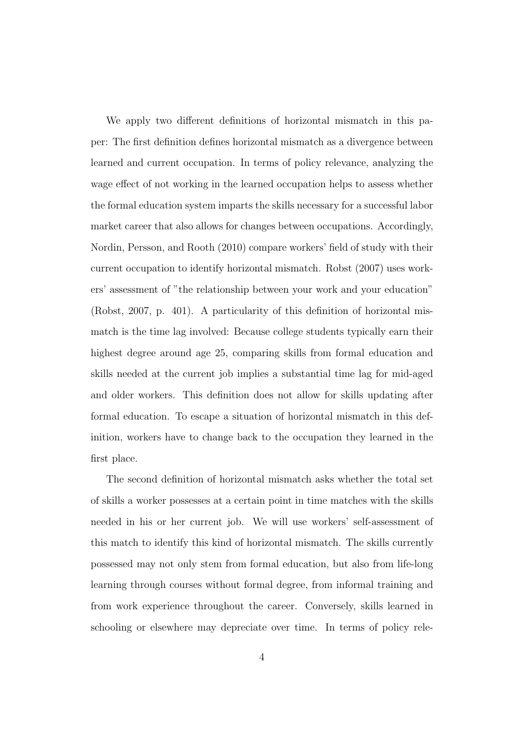We apply two different definitions of horizontal mismatch in this paper: The first definition defines horizontal mismatch as a divergence between learned and current occupation. In terms of policy relevance, analyzing the wage effect of not working in the learned occupation helps to assess whether the formal education system imparts the skills necessary for a successful labor market career that also allows for changes between occupations. Accordingly, Nordin, Persson, and Rooth (2010) compare workers' field of study with their current occupation to identify horizontal mismatch. Robst (2007) uses workers' assessment of "the relationship between your work and your education" (Robst, 2007, p. 401). A particularity of this definition of horizontal mismatch is the time lag involved: Because college students typically earn their highest degree around age 25, comparing skills from formal education and skills needed at the current job implies a substantial time lag for mid-aged and older workers. This definition does not allow for skills updating after formal education. To escape a situation of horizontal mismatch in this definition, workers have to change back to the occupation they learned in the first place.

The second definition of horizontal mismatch asks whether the total set of skills a worker possesses at a certain point in time matches with the skills needed in his or her current job. We will use workers' self-assessment of this match to identify this kind of horizontal mismatch. The skills currently possessed may not only stem from formal education, but also from life-long learning through courses without formal degree, from informal training and from work experience throughout the career. Conversely, skills learned in schooling or elsewhere may depreciate over time. In terms of policy rele-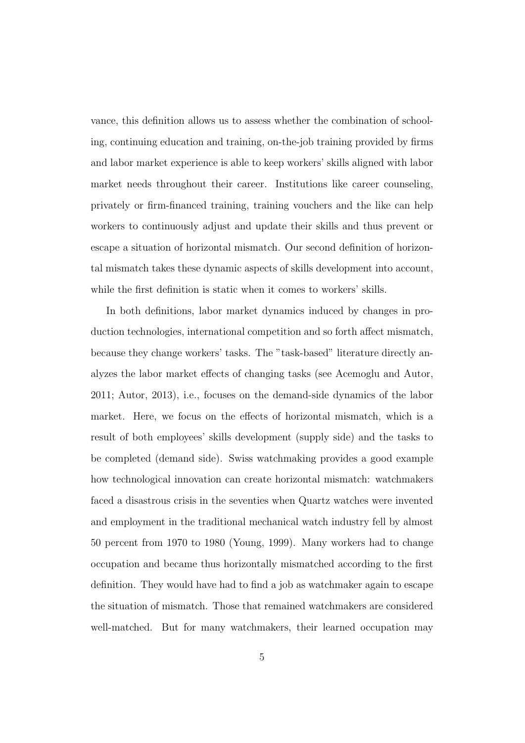vance, this definition allows us to assess whether the combination of schooling, continuing education and training, on-the-job training provided by firms and labor market experience is able to keep workers' skills aligned with labor market needs throughout their career. Institutions like career counseling, privately or firm-financed training, training vouchers and the like can help workers to continuously adjust and update their skills and thus prevent or escape a situation of horizontal mismatch. Our second definition of horizontal mismatch takes these dynamic aspects of skills development into account, while the first definition is static when it comes to workers' skills.

In both definitions, labor market dynamics induced by changes in production technologies, international competition and so forth affect mismatch, because they change workers' tasks. The "task-based" literature directly analyzes the labor market effects of changing tasks (see Acemoglu and Autor, 2011; Autor, 2013), i.e., focuses on the demand-side dynamics of the labor market. Here, we focus on the effects of horizontal mismatch, which is a result of both employees' skills development (supply side) and the tasks to be completed (demand side). Swiss watchmaking provides a good example how technological innovation can create horizontal mismatch: watchmakers faced a disastrous crisis in the seventies when Quartz watches were invented and employment in the traditional mechanical watch industry fell by almost 50 percent from 1970 to 1980 (Young, 1999). Many workers had to change occupation and became thus horizontally mismatched according to the first definition. They would have had to find a job as watchmaker again to escape the situation of mismatch. Those that remained watchmakers are considered well-matched. But for many watchmakers, their learned occupation may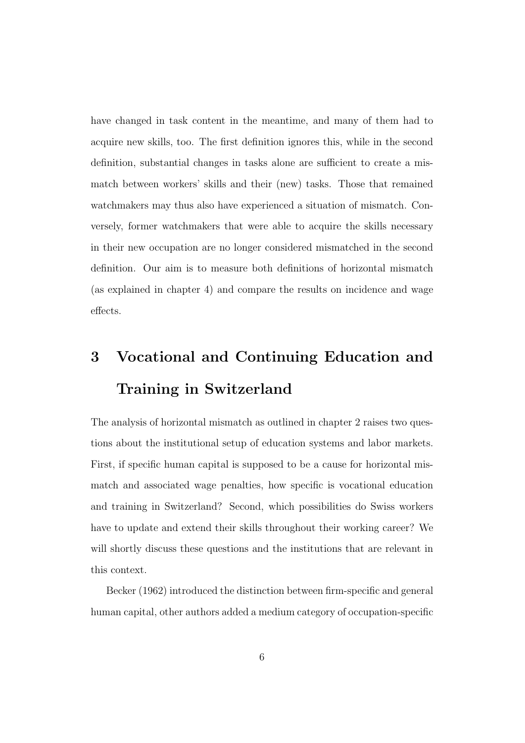have changed in task content in the meantime, and many of them had to acquire new skills, too. The first definition ignores this, while in the second definition, substantial changes in tasks alone are sufficient to create a mismatch between workers' skills and their (new) tasks. Those that remained watchmakers may thus also have experienced a situation of mismatch. Conversely, former watchmakers that were able to acquire the skills necessary in their new occupation are no longer considered mismatched in the second definition. Our aim is to measure both definitions of horizontal mismatch (as explained in chapter 4) and compare the results on incidence and wage effects.

# 3 Vocational and Continuing Education and Training in Switzerland

The analysis of horizontal mismatch as outlined in chapter 2 raises two questions about the institutional setup of education systems and labor markets. First, if specific human capital is supposed to be a cause for horizontal mismatch and associated wage penalties, how specific is vocational education and training in Switzerland? Second, which possibilities do Swiss workers have to update and extend their skills throughout their working career? We will shortly discuss these questions and the institutions that are relevant in this context.

Becker (1962) introduced the distinction between firm-specific and general human capital, other authors added a medium category of occupation-specific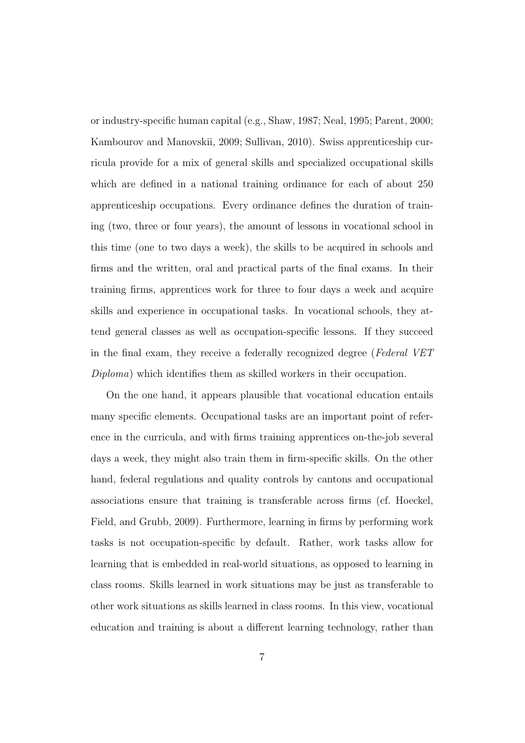or industry-specific human capital (e.g., Shaw, 1987; Neal, 1995; Parent, 2000; Kambourov and Manovskii, 2009; Sullivan, 2010). Swiss apprenticeship curricula provide for a mix of general skills and specialized occupational skills which are defined in a national training ordinance for each of about 250 apprenticeship occupations. Every ordinance defines the duration of training (two, three or four years), the amount of lessons in vocational school in this time (one to two days a week), the skills to be acquired in schools and firms and the written, oral and practical parts of the final exams. In their training firms, apprentices work for three to four days a week and acquire skills and experience in occupational tasks. In vocational schools, they attend general classes as well as occupation-specific lessons. If they succeed in the final exam, they receive a federally recognized degree (Federal VET Diploma) which identifies them as skilled workers in their occupation.

On the one hand, it appears plausible that vocational education entails many specific elements. Occupational tasks are an important point of reference in the curricula, and with firms training apprentices on-the-job several days a week, they might also train them in firm-specific skills. On the other hand, federal regulations and quality controls by cantons and occupational associations ensure that training is transferable across firms (cf. Hoeckel, Field, and Grubb, 2009). Furthermore, learning in firms by performing work tasks is not occupation-specific by default. Rather, work tasks allow for learning that is embedded in real-world situations, as opposed to learning in class rooms. Skills learned in work situations may be just as transferable to other work situations as skills learned in class rooms. In this view, vocational education and training is about a different learning technology, rather than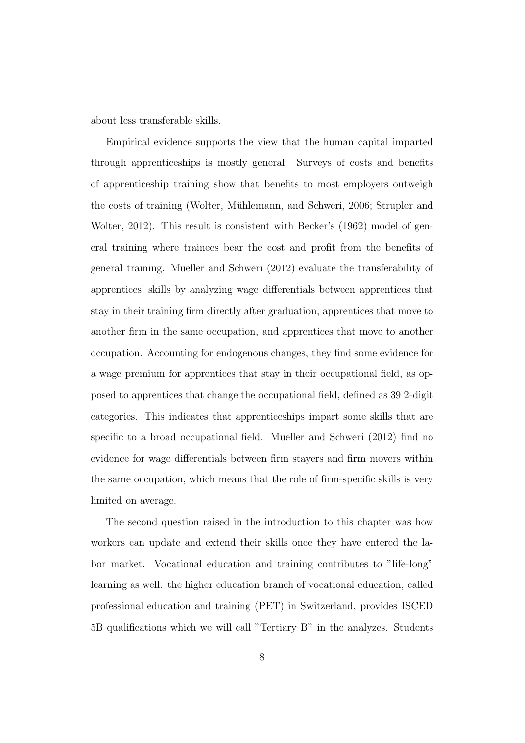about less transferable skills.

Empirical evidence supports the view that the human capital imparted through apprenticeships is mostly general. Surveys of costs and benefits of apprenticeship training show that benefits to most employers outweigh the costs of training (Wolter, Mühlemann, and Schweri, 2006; Strupler and Wolter, 2012). This result is consistent with Becker's (1962) model of general training where trainees bear the cost and profit from the benefits of general training. Mueller and Schweri (2012) evaluate the transferability of apprentices' skills by analyzing wage differentials between apprentices that stay in their training firm directly after graduation, apprentices that move to another firm in the same occupation, and apprentices that move to another occupation. Accounting for endogenous changes, they find some evidence for a wage premium for apprentices that stay in their occupational field, as opposed to apprentices that change the occupational field, defined as 39 2-digit categories. This indicates that apprenticeships impart some skills that are specific to a broad occupational field. Mueller and Schweri (2012) find no evidence for wage differentials between firm stayers and firm movers within the same occupation, which means that the role of firm-specific skills is very limited on average.

The second question raised in the introduction to this chapter was how workers can update and extend their skills once they have entered the labor market. Vocational education and training contributes to "life-long" learning as well: the higher education branch of vocational education, called professional education and training (PET) in Switzerland, provides ISCED 5B qualifications which we will call "Tertiary B" in the analyzes. Students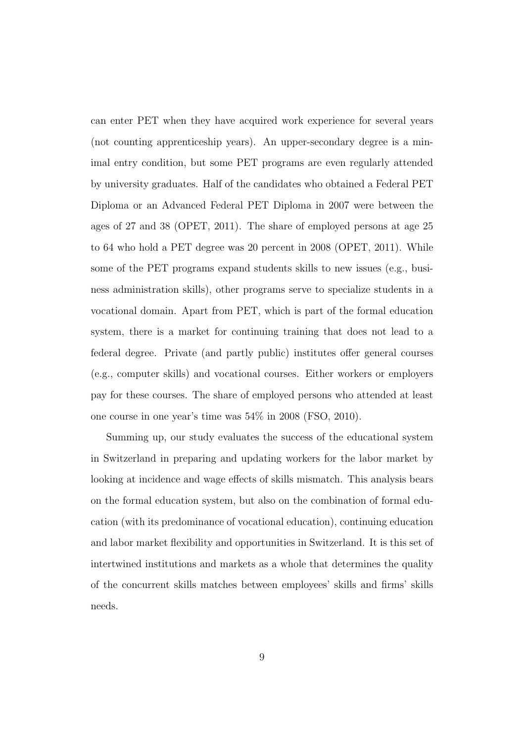can enter PET when they have acquired work experience for several years (not counting apprenticeship years). An upper-secondary degree is a minimal entry condition, but some PET programs are even regularly attended by university graduates. Half of the candidates who obtained a Federal PET Diploma or an Advanced Federal PET Diploma in 2007 were between the ages of 27 and 38 (OPET, 2011). The share of employed persons at age 25 to 64 who hold a PET degree was 20 percent in 2008 (OPET, 2011). While some of the PET programs expand students skills to new issues (e.g., business administration skills), other programs serve to specialize students in a vocational domain. Apart from PET, which is part of the formal education system, there is a market for continuing training that does not lead to a federal degree. Private (and partly public) institutes offer general courses (e.g., computer skills) and vocational courses. Either workers or employers pay for these courses. The share of employed persons who attended at least one course in one year's time was 54% in 2008 (FSO, 2010).

Summing up, our study evaluates the success of the educational system in Switzerland in preparing and updating workers for the labor market by looking at incidence and wage effects of skills mismatch. This analysis bears on the formal education system, but also on the combination of formal education (with its predominance of vocational education), continuing education and labor market flexibility and opportunities in Switzerland. It is this set of intertwined institutions and markets as a whole that determines the quality of the concurrent skills matches between employees' skills and firms' skills needs.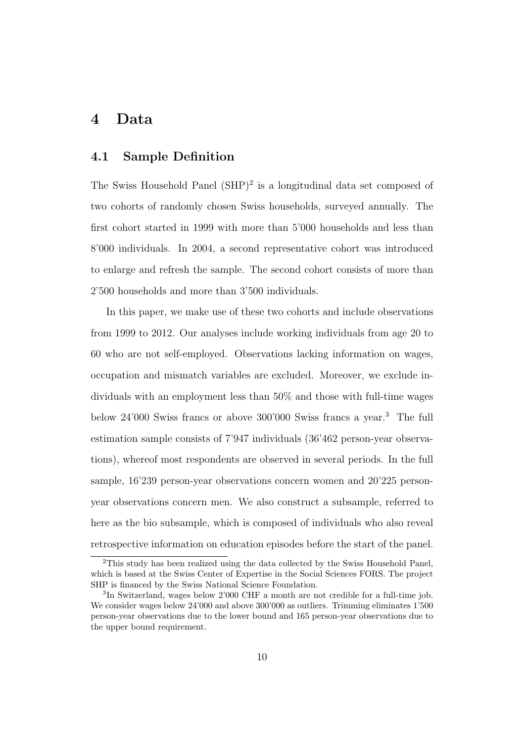### 4 Data

#### 4.1 Sample Definition

The Swiss Household Panel  $(SHP)^2$  is a longitudinal data set composed of two cohorts of randomly chosen Swiss households, surveyed annually. The first cohort started in 1999 with more than 5'000 households and less than 8'000 individuals. In 2004, a second representative cohort was introduced to enlarge and refresh the sample. The second cohort consists of more than 2'500 households and more than 3'500 individuals.

In this paper, we make use of these two cohorts and include observations from 1999 to 2012. Our analyses include working individuals from age 20 to 60 who are not self-employed. Observations lacking information on wages, occupation and mismatch variables are excluded. Moreover, we exclude individuals with an employment less than 50% and those with full-time wages below 24'000 Swiss francs or above 300'000 Swiss francs a year.<sup>3</sup> The full estimation sample consists of 7'947 individuals (36'462 person-year observations), whereof most respondents are observed in several periods. In the full sample, 16'239 person-year observations concern women and 20'225 personyear observations concern men. We also construct a subsample, referred to here as the bio subsample, which is composed of individuals who also reveal retrospective information on education episodes before the start of the panel.

<sup>2</sup>This study has been realized using the data collected by the Swiss Household Panel, which is based at the Swiss Center of Expertise in the Social Sciences FORS. The project SHP is financed by the Swiss National Science Foundation.

<sup>&</sup>lt;sup>3</sup>In Switzerland, wages below 2'000 CHF a month are not credible for a full-time job. We consider wages below 24'000 and above 300'000 as outliers. Trimming eliminates 1'500 person-year observations due to the lower bound and 165 person-year observations due to the upper bound requirement.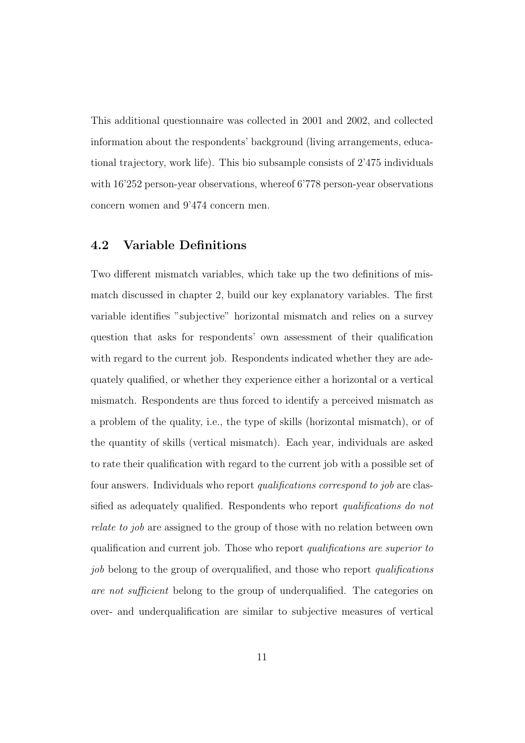This additional questionnaire was collected in 2001 and 2002, and collected information about the respondents' background (living arrangements, educational trajectory, work life). This bio subsample consists of 2'475 individuals with  $16'252$  person-year observations, whereof 6'778 person-year observations concern women and 9'474 concern men.

#### 4.2 Variable Definitions

Two different mismatch variables, which take up the two definitions of mismatch discussed in chapter 2, build our key explanatory variables. The first variable identifies "subjective" horizontal mismatch and relies on a survey question that asks for respondents' own assessment of their qualification with regard to the current job. Respondents indicated whether they are adequately qualified, or whether they experience either a horizontal or a vertical mismatch. Respondents are thus forced to identify a perceived mismatch as a problem of the quality, i.e., the type of skills (horizontal mismatch), or of the quantity of skills (vertical mismatch). Each year, individuals are asked to rate their qualification with regard to the current job with a possible set of four answers. Individuals who report *qualifications correspond to job* are classified as adequately qualified. Respondents who report *qualifications do not* relate to job are assigned to the group of those with no relation between own qualification and current job. Those who report qualifications are superior to job belong to the group of overqualified, and those who report *qualifications* are not sufficient belong to the group of underqualified. The categories on over- and underqualification are similar to subjective measures of vertical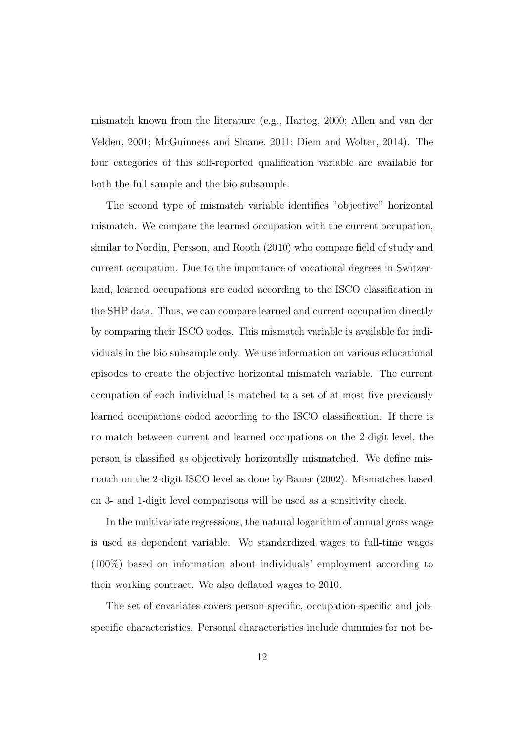mismatch known from the literature (e.g., Hartog, 2000; Allen and van der Velden, 2001; McGuinness and Sloane, 2011; Diem and Wolter, 2014). The four categories of this self-reported qualification variable are available for both the full sample and the bio subsample.

The second type of mismatch variable identifies "objective" horizontal mismatch. We compare the learned occupation with the current occupation, similar to Nordin, Persson, and Rooth (2010) who compare field of study and current occupation. Due to the importance of vocational degrees in Switzerland, learned occupations are coded according to the ISCO classification in the SHP data. Thus, we can compare learned and current occupation directly by comparing their ISCO codes. This mismatch variable is available for individuals in the bio subsample only. We use information on various educational episodes to create the objective horizontal mismatch variable. The current occupation of each individual is matched to a set of at most five previously learned occupations coded according to the ISCO classification. If there is no match between current and learned occupations on the 2-digit level, the person is classified as objectively horizontally mismatched. We define mismatch on the 2-digit ISCO level as done by Bauer (2002). Mismatches based on 3- and 1-digit level comparisons will be used as a sensitivity check.

In the multivariate regressions, the natural logarithm of annual gross wage is used as dependent variable. We standardized wages to full-time wages (100%) based on information about individuals' employment according to their working contract. We also deflated wages to 2010.

The set of covariates covers person-specific, occupation-specific and jobspecific characteristics. Personal characteristics include dummies for not be-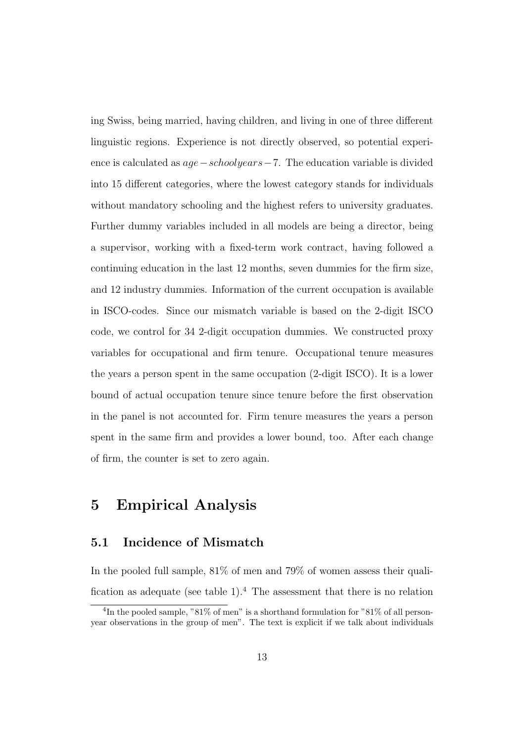ing Swiss, being married, having children, and living in one of three different linguistic regions. Experience is not directly observed, so potential experience is calculated as age−schoolyears−7. The education variable is divided into 15 different categories, where the lowest category stands for individuals without mandatory schooling and the highest refers to university graduates. Further dummy variables included in all models are being a director, being a supervisor, working with a fixed-term work contract, having followed a continuing education in the last 12 months, seven dummies for the firm size, and 12 industry dummies. Information of the current occupation is available in ISCO-codes. Since our mismatch variable is based on the 2-digit ISCO code, we control for 34 2-digit occupation dummies. We constructed proxy variables for occupational and firm tenure. Occupational tenure measures the years a person spent in the same occupation (2-digit ISCO). It is a lower bound of actual occupation tenure since tenure before the first observation in the panel is not accounted for. Firm tenure measures the years a person spent in the same firm and provides a lower bound, too. After each change of firm, the counter is set to zero again.

## 5 Empirical Analysis

#### 5.1 Incidence of Mismatch

In the pooled full sample, 81% of men and 79% of women assess their qualification as adequate (see table  $1$ ).<sup>4</sup> The assessment that there is no relation

<sup>&</sup>lt;sup>4</sup>In the pooled sample, "81% of men" is a shorthand formulation for "81% of all personyear observations in the group of men". The text is explicit if we talk about individuals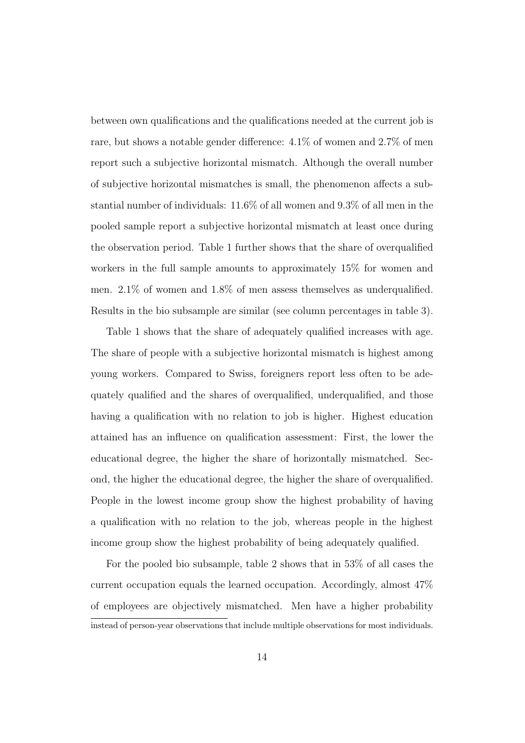between own qualifications and the qualifications needed at the current job is rare, but shows a notable gender difference: 4.1% of women and 2.7% of men report such a subjective horizontal mismatch. Although the overall number of subjective horizontal mismatches is small, the phenomenon affects a substantial number of individuals: 11.6% of all women and 9.3% of all men in the pooled sample report a subjective horizontal mismatch at least once during the observation period. Table 1 further shows that the share of overqualified workers in the full sample amounts to approximately 15% for women and men. 2.1% of women and 1.8% of men assess themselves as underqualified. Results in the bio subsample are similar (see column percentages in table 3).

Table 1 shows that the share of adequately qualified increases with age. The share of people with a subjective horizontal mismatch is highest among young workers. Compared to Swiss, foreigners report less often to be adequately qualified and the shares of overqualified, underqualified, and those having a qualification with no relation to job is higher. Highest education attained has an influence on qualification assessment: First, the lower the educational degree, the higher the share of horizontally mismatched. Second, the higher the educational degree, the higher the share of overqualified. People in the lowest income group show the highest probability of having a qualification with no relation to the job, whereas people in the highest income group show the highest probability of being adequately qualified.

For the pooled bio subsample, table 2 shows that in 53% of all cases the current occupation equals the learned occupation. Accordingly, almost 47% of employees are objectively mismatched. Men have a higher probability instead of person-year observations that include multiple observations for most individuals.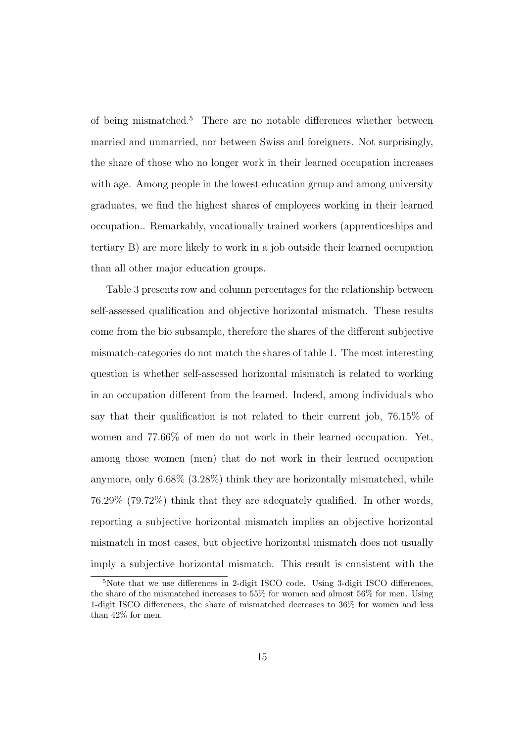of being mismatched.<sup>5</sup> There are no notable differences whether between married and unmarried, nor between Swiss and foreigners. Not surprisingly, the share of those who no longer work in their learned occupation increases with age. Among people in the lowest education group and among university graduates, we find the highest shares of employees working in their learned occupation.. Remarkably, vocationally trained workers (apprenticeships and tertiary B) are more likely to work in a job outside their learned occupation than all other major education groups.

Table 3 presents row and column percentages for the relationship between self-assessed qualification and objective horizontal mismatch. These results come from the bio subsample, therefore the shares of the different subjective mismatch-categories do not match the shares of table 1. The most interesting question is whether self-assessed horizontal mismatch is related to working in an occupation different from the learned. Indeed, among individuals who say that their qualification is not related to their current job, 76.15% of women and 77.66% of men do not work in their learned occupation. Yet, among those women (men) that do not work in their learned occupation anymore, only 6.68% (3.28%) think they are horizontally mismatched, while 76.29% (79.72%) think that they are adequately qualified. In other words, reporting a subjective horizontal mismatch implies an objective horizontal mismatch in most cases, but objective horizontal mismatch does not usually imply a subjective horizontal mismatch. This result is consistent with the

<sup>&</sup>lt;sup>5</sup>Note that we use differences in 2-digit ISCO code. Using 3-digit ISCO differences, the share of the mismatched increases to 55% for women and almost 56% for men. Using 1-digit ISCO differences, the share of mismatched decreases to 36% for women and less than 42% for men.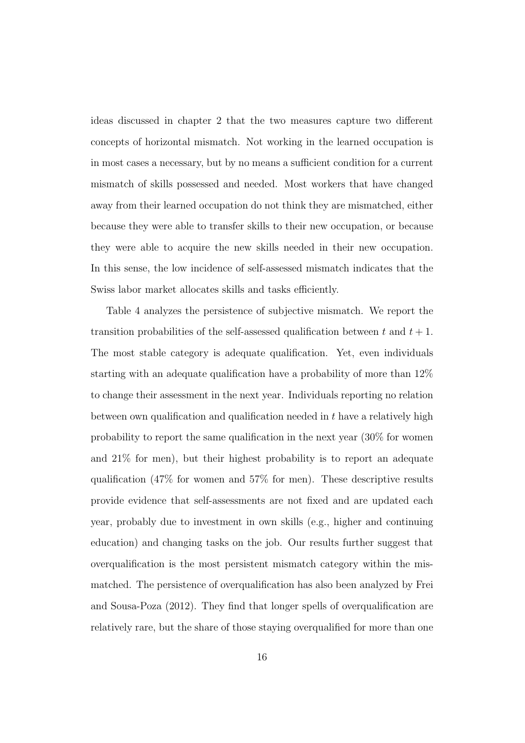ideas discussed in chapter 2 that the two measures capture two different concepts of horizontal mismatch. Not working in the learned occupation is in most cases a necessary, but by no means a sufficient condition for a current mismatch of skills possessed and needed. Most workers that have changed away from their learned occupation do not think they are mismatched, either because they were able to transfer skills to their new occupation, or because they were able to acquire the new skills needed in their new occupation. In this sense, the low incidence of self-assessed mismatch indicates that the Swiss labor market allocates skills and tasks efficiently.

Table 4 analyzes the persistence of subjective mismatch. We report the transition probabilities of the self-assessed qualification between t and  $t + 1$ . The most stable category is adequate qualification. Yet, even individuals starting with an adequate qualification have a probability of more than 12% to change their assessment in the next year. Individuals reporting no relation between own qualification and qualification needed in t have a relatively high probability to report the same qualification in the next year (30% for women and 21% for men), but their highest probability is to report an adequate qualification (47% for women and 57% for men). These descriptive results provide evidence that self-assessments are not fixed and are updated each year, probably due to investment in own skills (e.g., higher and continuing education) and changing tasks on the job. Our results further suggest that overqualification is the most persistent mismatch category within the mismatched. The persistence of overqualification has also been analyzed by Frei and Sousa-Poza (2012). They find that longer spells of overqualification are relatively rare, but the share of those staying overqualified for more than one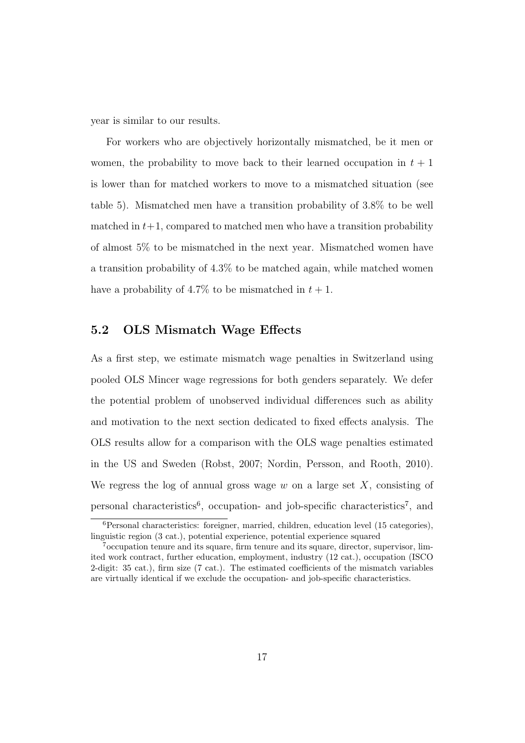year is similar to our results.

For workers who are objectively horizontally mismatched, be it men or women, the probability to move back to their learned occupation in  $t + 1$ is lower than for matched workers to move to a mismatched situation (see table 5). Mismatched men have a transition probability of 3.8% to be well matched in  $t+1$ , compared to matched men who have a transition probability of almost 5% to be mismatched in the next year. Mismatched women have a transition probability of 4.3% to be matched again, while matched women have a probability of 4.7% to be mismatched in  $t + 1$ .

#### 5.2 OLS Mismatch Wage Effects

As a first step, we estimate mismatch wage penalties in Switzerland using pooled OLS Mincer wage regressions for both genders separately. We defer the potential problem of unobserved individual differences such as ability and motivation to the next section dedicated to fixed effects analysis. The OLS results allow for a comparison with the OLS wage penalties estimated in the US and Sweden (Robst, 2007; Nordin, Persson, and Rooth, 2010). We regress the log of annual gross wage w on a large set  $X$ , consisting of personal characteristics<sup>6</sup>, occupation- and job-specific characteristics<sup>7</sup>, and

<sup>6</sup>Personal characteristics: foreigner, married, children, education level (15 categories), linguistic region (3 cat.), potential experience, potential experience squared

<sup>7</sup>occupation tenure and its square, firm tenure and its square, director, supervisor, limited work contract, further education, employment, industry (12 cat.), occupation (ISCO 2-digit: 35 cat.), firm size (7 cat.). The estimated coefficients of the mismatch variables are virtually identical if we exclude the occupation- and job-specific characteristics.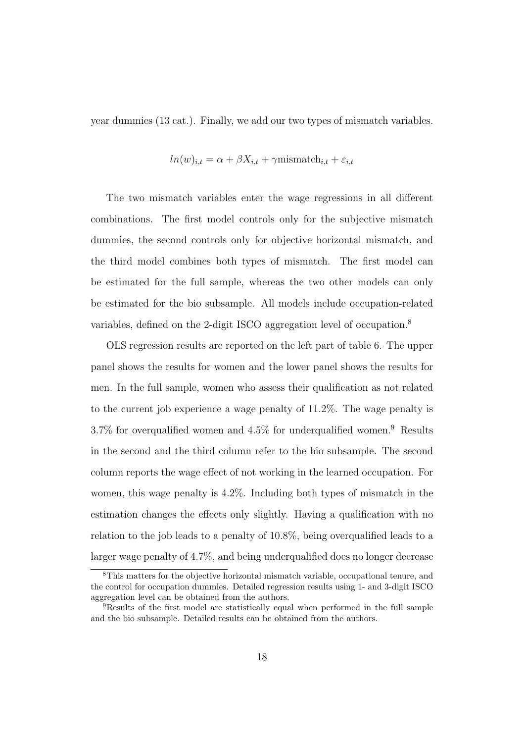year dummies (13 cat.). Finally, we add our two types of mismatch variables.

$$
ln(w)_{i,t} = \alpha + \beta X_{i,t} + \gamma \text{mismatch}_{i,t} + \varepsilon_{i,t}
$$

The two mismatch variables enter the wage regressions in all different combinations. The first model controls only for the subjective mismatch dummies, the second controls only for objective horizontal mismatch, and the third model combines both types of mismatch. The first model can be estimated for the full sample, whereas the two other models can only be estimated for the bio subsample. All models include occupation-related variables, defined on the 2-digit ISCO aggregation level of occupation.<sup>8</sup>

OLS regression results are reported on the left part of table 6. The upper panel shows the results for women and the lower panel shows the results for men. In the full sample, women who assess their qualification as not related to the current job experience a wage penalty of 11.2%. The wage penalty is  $3.7\%$  for overqualified women and  $4.5\%$  for underqualified women.<sup>9</sup> Results in the second and the third column refer to the bio subsample. The second column reports the wage effect of not working in the learned occupation. For women, this wage penalty is 4.2%. Including both types of mismatch in the estimation changes the effects only slightly. Having a qualification with no relation to the job leads to a penalty of 10.8%, being overqualified leads to a larger wage penalty of 4.7%, and being underqualified does no longer decrease

<sup>8</sup>This matters for the objective horizontal mismatch variable, occupational tenure, and the control for occupation dummies. Detailed regression results using 1- and 3-digit ISCO aggregation level can be obtained from the authors.

<sup>9</sup>Results of the first model are statistically equal when performed in the full sample and the bio subsample. Detailed results can be obtained from the authors.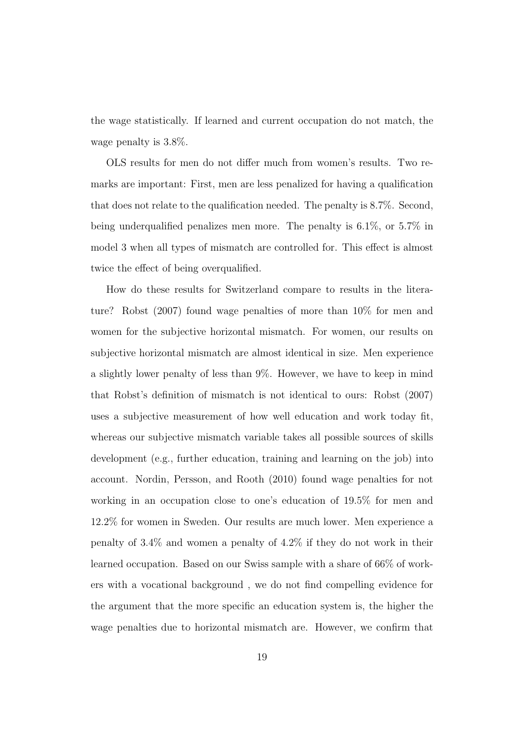the wage statistically. If learned and current occupation do not match, the wage penalty is 3.8%.

OLS results for men do not differ much from women's results. Two remarks are important: First, men are less penalized for having a qualification that does not relate to the qualification needed. The penalty is 8.7%. Second, being underqualified penalizes men more. The penalty is 6.1%, or 5.7% in model 3 when all types of mismatch are controlled for. This effect is almost twice the effect of being overqualified.

How do these results for Switzerland compare to results in the literature? Robst (2007) found wage penalties of more than 10% for men and women for the subjective horizontal mismatch. For women, our results on subjective horizontal mismatch are almost identical in size. Men experience a slightly lower penalty of less than 9%. However, we have to keep in mind that Robst's definition of mismatch is not identical to ours: Robst (2007) uses a subjective measurement of how well education and work today fit, whereas our subjective mismatch variable takes all possible sources of skills development (e.g., further education, training and learning on the job) into account. Nordin, Persson, and Rooth (2010) found wage penalties for not working in an occupation close to one's education of 19.5% for men and 12.2% for women in Sweden. Our results are much lower. Men experience a penalty of 3.4% and women a penalty of 4.2% if they do not work in their learned occupation. Based on our Swiss sample with a share of 66% of workers with a vocational background , we do not find compelling evidence for the argument that the more specific an education system is, the higher the wage penalties due to horizontal mismatch are. However, we confirm that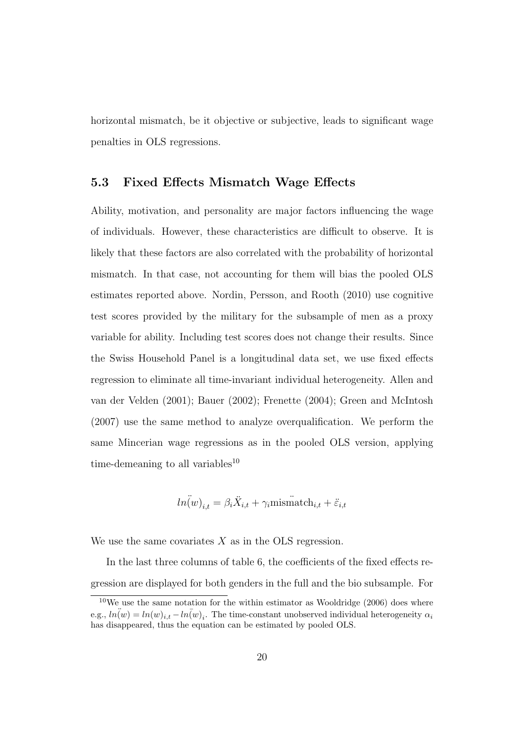horizontal mismatch, be it objective or subjective, leads to significant wage penalties in OLS regressions.

#### 5.3 Fixed Effects Mismatch Wage Effects

Ability, motivation, and personality are major factors influencing the wage of individuals. However, these characteristics are difficult to observe. It is likely that these factors are also correlated with the probability of horizontal mismatch. In that case, not accounting for them will bias the pooled OLS estimates reported above. Nordin, Persson, and Rooth (2010) use cognitive test scores provided by the military for the subsample of men as a proxy variable for ability. Including test scores does not change their results. Since the Swiss Household Panel is a longitudinal data set, we use fixed effects regression to eliminate all time-invariant individual heterogeneity. Allen and van der Velden (2001); Bauer (2002); Frenette (2004); Green and McIntosh (2007) use the same method to analyze overqualification. We perform the same Mincerian wage regressions as in the pooled OLS version, applying time-demeaning to all variables<sup>10</sup>

$$
\widetilde{ln(w)}_{i,t} = \beta_i \ddot{X}_{i,t} + \gamma_i \text{mismatch}_{i,t} + \ddot{\varepsilon}_{i,t}
$$

We use the same covariates  $X$  as in the OLS regression.

In the last three columns of table 6, the coefficients of the fixed effects regression are displayed for both genders in the full and the bio subsample. For

 $10$ We use the same notation for the within estimator as Wooldridge (2006) does where e.g.,  $\hat{ln}(w) = ln(w)_{i,t} - ln(w)_{i}$ . The time-constant unobserved individual heterogeneity  $\alpha_i$ has disappeared, thus the equation can be estimated by pooled OLS.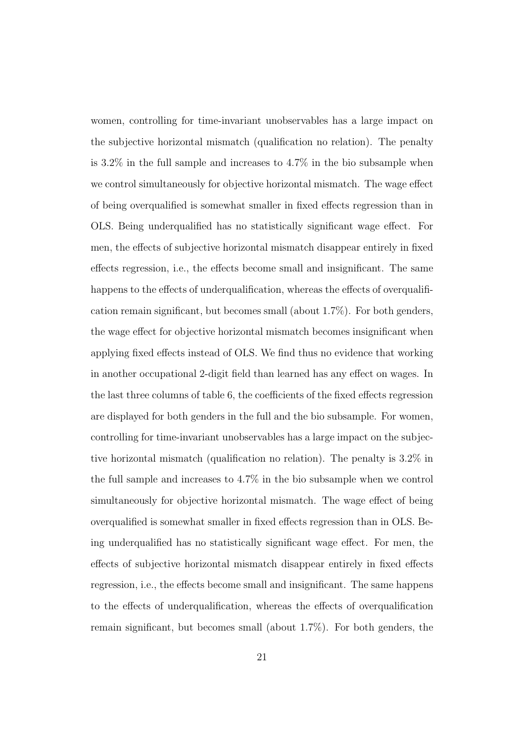women, controlling for time-invariant unobservables has a large impact on the subjective horizontal mismatch (qualification no relation). The penalty is 3.2% in the full sample and increases to 4.7% in the bio subsample when we control simultaneously for objective horizontal mismatch. The wage effect of being overqualified is somewhat smaller in fixed effects regression than in OLS. Being underqualified has no statistically significant wage effect. For men, the effects of subjective horizontal mismatch disappear entirely in fixed effects regression, i.e., the effects become small and insignificant. The same happens to the effects of underqualification, whereas the effects of overqualification remain significant, but becomes small (about 1.7%). For both genders, the wage effect for objective horizontal mismatch becomes insignificant when applying fixed effects instead of OLS. We find thus no evidence that working in another occupational 2-digit field than learned has any effect on wages. In the last three columns of table 6, the coefficients of the fixed effects regression are displayed for both genders in the full and the bio subsample. For women, controlling for time-invariant unobservables has a large impact on the subjective horizontal mismatch (qualification no relation). The penalty is 3.2% in the full sample and increases to 4.7% in the bio subsample when we control simultaneously for objective horizontal mismatch. The wage effect of being overqualified is somewhat smaller in fixed effects regression than in OLS. Being underqualified has no statistically significant wage effect. For men, the effects of subjective horizontal mismatch disappear entirely in fixed effects regression, i.e., the effects become small and insignificant. The same happens to the effects of underqualification, whereas the effects of overqualification remain significant, but becomes small (about 1.7%). For both genders, the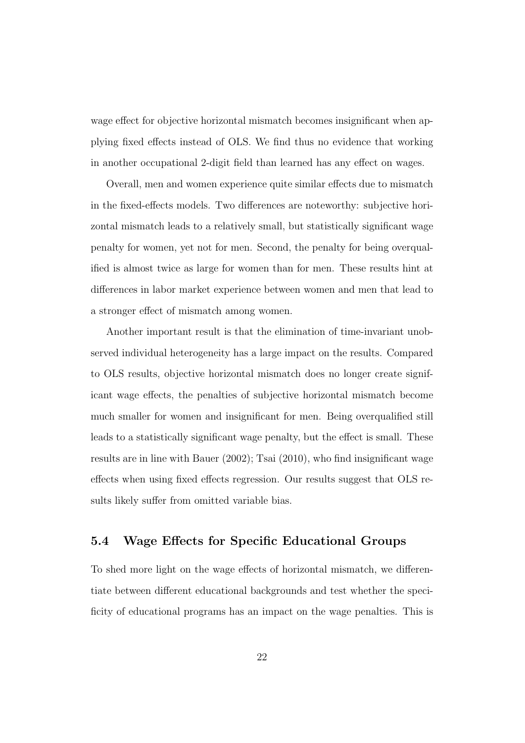wage effect for objective horizontal mismatch becomes insignificant when applying fixed effects instead of OLS. We find thus no evidence that working in another occupational 2-digit field than learned has any effect on wages.

Overall, men and women experience quite similar effects due to mismatch in the fixed-effects models. Two differences are noteworthy: subjective horizontal mismatch leads to a relatively small, but statistically significant wage penalty for women, yet not for men. Second, the penalty for being overqualified is almost twice as large for women than for men. These results hint at differences in labor market experience between women and men that lead to a stronger effect of mismatch among women.

Another important result is that the elimination of time-invariant unobserved individual heterogeneity has a large impact on the results. Compared to OLS results, objective horizontal mismatch does no longer create significant wage effects, the penalties of subjective horizontal mismatch become much smaller for women and insignificant for men. Being overqualified still leads to a statistically significant wage penalty, but the effect is small. These results are in line with Bauer (2002); Tsai (2010), who find insignificant wage effects when using fixed effects regression. Our results suggest that OLS results likely suffer from omitted variable bias.

#### 5.4 Wage Effects for Specific Educational Groups

To shed more light on the wage effects of horizontal mismatch, we differentiate between different educational backgrounds and test whether the specificity of educational programs has an impact on the wage penalties. This is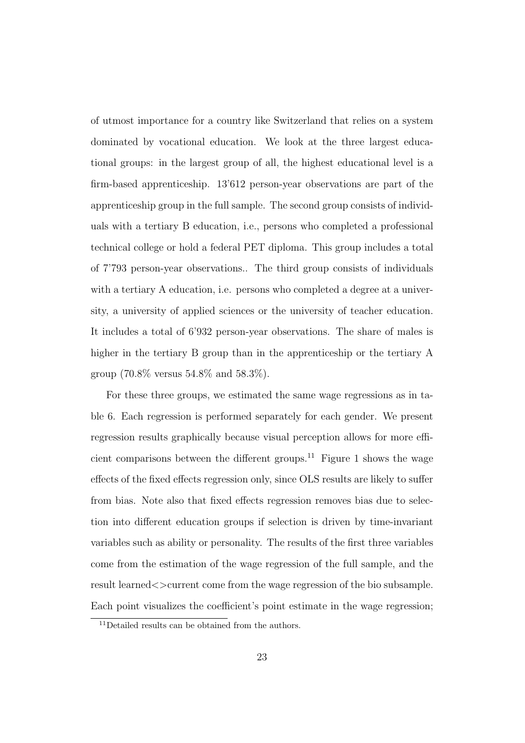of utmost importance for a country like Switzerland that relies on a system dominated by vocational education. We look at the three largest educational groups: in the largest group of all, the highest educational level is a firm-based apprenticeship. 13'612 person-year observations are part of the apprenticeship group in the full sample. The second group consists of individuals with a tertiary B education, i.e., persons who completed a professional technical college or hold a federal PET diploma. This group includes a total of 7'793 person-year observations.. The third group consists of individuals with a tertiary A education, i.e. persons who completed a degree at a university, a university of applied sciences or the university of teacher education. It includes a total of 6'932 person-year observations. The share of males is higher in the tertiary B group than in the apprenticeship or the tertiary A group (70.8% versus 54.8% and 58.3%).

For these three groups, we estimated the same wage regressions as in table 6. Each regression is performed separately for each gender. We present regression results graphically because visual perception allows for more efficient comparisons between the different groups.<sup>11</sup> Figure 1 shows the wage effects of the fixed effects regression only, since OLS results are likely to suffer from bias. Note also that fixed effects regression removes bias due to selection into different education groups if selection is driven by time-invariant variables such as ability or personality. The results of the first three variables come from the estimation of the wage regression of the full sample, and the result learned  $\leq$  current come from the wage regression of the bio subsample. Each point visualizes the coefficient's point estimate in the wage regression;

<sup>11</sup>Detailed results can be obtained from the authors.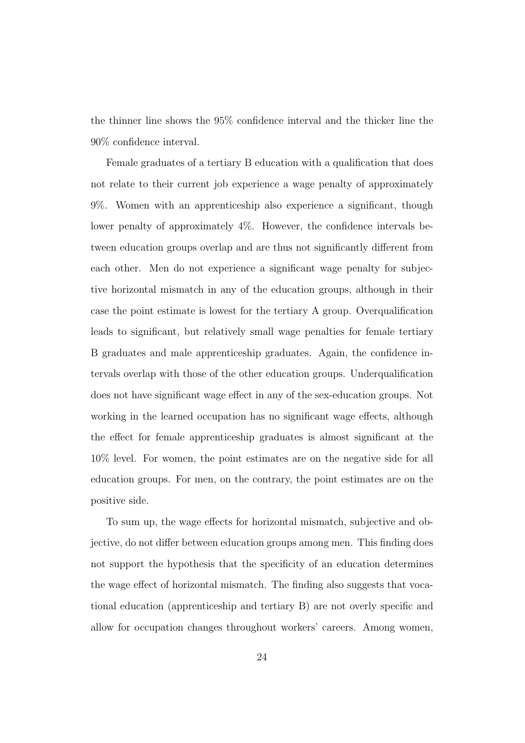the thinner line shows the 95% confidence interval and the thicker line the 90% confidence interval.

Female graduates of a tertiary B education with a qualification that does not relate to their current job experience a wage penalty of approximately 9%. Women with an apprenticeship also experience a significant, though lower penalty of approximately 4%. However, the confidence intervals between education groups overlap and are thus not significantly different from each other. Men do not experience a significant wage penalty for subjective horizontal mismatch in any of the education groups, although in their case the point estimate is lowest for the tertiary A group. Overqualification leads to significant, but relatively small wage penalties for female tertiary B graduates and male apprenticeship graduates. Again, the confidence intervals overlap with those of the other education groups. Underqualification does not have significant wage effect in any of the sex-education groups. Not working in the learned occupation has no significant wage effects, although the effect for female apprenticeship graduates is almost significant at the 10% level. For women, the point estimates are on the negative side for all education groups. For men, on the contrary, the point estimates are on the positive side.

To sum up, the wage effects for horizontal mismatch, subjective and objective, do not differ between education groups among men. This finding does not support the hypothesis that the specificity of an education determines the wage effect of horizontal mismatch. The finding also suggests that vocational education (apprenticeship and tertiary B) are not overly specific and allow for occupation changes throughout workers' careers. Among women,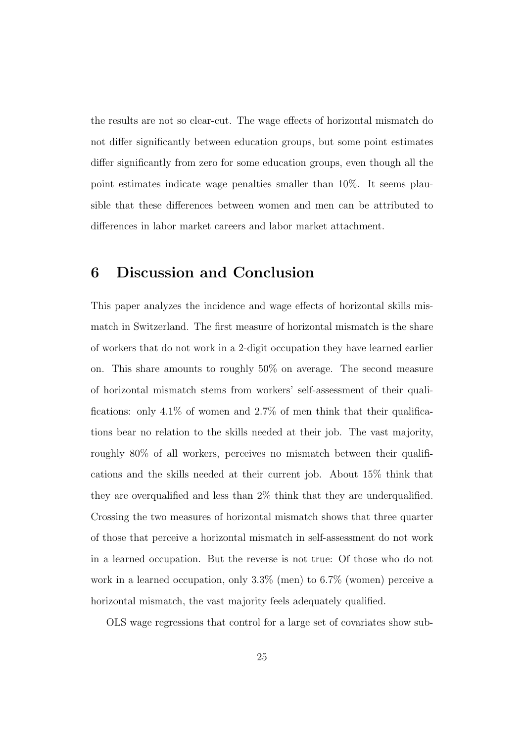the results are not so clear-cut. The wage effects of horizontal mismatch do not differ significantly between education groups, but some point estimates differ significantly from zero for some education groups, even though all the point estimates indicate wage penalties smaller than 10%. It seems plausible that these differences between women and men can be attributed to differences in labor market careers and labor market attachment.

### 6 Discussion and Conclusion

This paper analyzes the incidence and wage effects of horizontal skills mismatch in Switzerland. The first measure of horizontal mismatch is the share of workers that do not work in a 2-digit occupation they have learned earlier on. This share amounts to roughly 50% on average. The second measure of horizontal mismatch stems from workers' self-assessment of their qualifications: only  $4.1\%$  of women and  $2.7\%$  of men think that their qualifications bear no relation to the skills needed at their job. The vast majority, roughly 80% of all workers, perceives no mismatch between their qualifications and the skills needed at their current job. About 15% think that they are overqualified and less than 2% think that they are underqualified. Crossing the two measures of horizontal mismatch shows that three quarter of those that perceive a horizontal mismatch in self-assessment do not work in a learned occupation. But the reverse is not true: Of those who do not work in a learned occupation, only 3.3% (men) to 6.7% (women) perceive a horizontal mismatch, the vast majority feels adequately qualified.

OLS wage regressions that control for a large set of covariates show sub-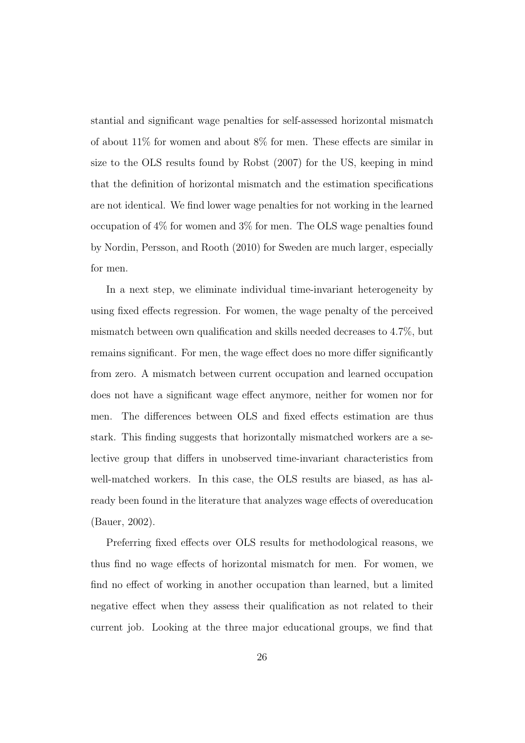stantial and significant wage penalties for self-assessed horizontal mismatch of about 11% for women and about 8% for men. These effects are similar in size to the OLS results found by Robst (2007) for the US, keeping in mind that the definition of horizontal mismatch and the estimation specifications are not identical. We find lower wage penalties for not working in the learned occupation of 4% for women and 3% for men. The OLS wage penalties found by Nordin, Persson, and Rooth (2010) for Sweden are much larger, especially for men.

In a next step, we eliminate individual time-invariant heterogeneity by using fixed effects regression. For women, the wage penalty of the perceived mismatch between own qualification and skills needed decreases to 4.7%, but remains significant. For men, the wage effect does no more differ significantly from zero. A mismatch between current occupation and learned occupation does not have a significant wage effect anymore, neither for women nor for men. The differences between OLS and fixed effects estimation are thus stark. This finding suggests that horizontally mismatched workers are a selective group that differs in unobserved time-invariant characteristics from well-matched workers. In this case, the OLS results are biased, as has already been found in the literature that analyzes wage effects of overeducation (Bauer, 2002).

Preferring fixed effects over OLS results for methodological reasons, we thus find no wage effects of horizontal mismatch for men. For women, we find no effect of working in another occupation than learned, but a limited negative effect when they assess their qualification as not related to their current job. Looking at the three major educational groups, we find that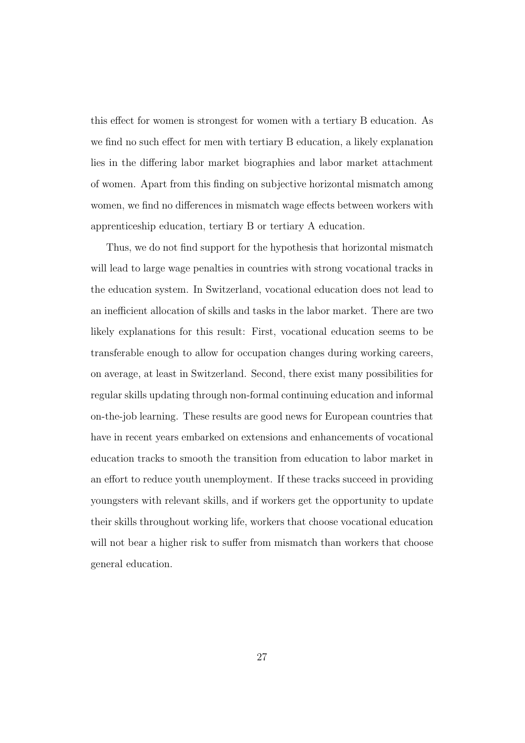this effect for women is strongest for women with a tertiary B education. As we find no such effect for men with tertiary B education, a likely explanation lies in the differing labor market biographies and labor market attachment of women. Apart from this finding on subjective horizontal mismatch among women, we find no differences in mismatch wage effects between workers with apprenticeship education, tertiary B or tertiary A education.

Thus, we do not find support for the hypothesis that horizontal mismatch will lead to large wage penalties in countries with strong vocational tracks in the education system. In Switzerland, vocational education does not lead to an inefficient allocation of skills and tasks in the labor market. There are two likely explanations for this result: First, vocational education seems to be transferable enough to allow for occupation changes during working careers, on average, at least in Switzerland. Second, there exist many possibilities for regular skills updating through non-formal continuing education and informal on-the-job learning. These results are good news for European countries that have in recent years embarked on extensions and enhancements of vocational education tracks to smooth the transition from education to labor market in an effort to reduce youth unemployment. If these tracks succeed in providing youngsters with relevant skills, and if workers get the opportunity to update their skills throughout working life, workers that choose vocational education will not bear a higher risk to suffer from mismatch than workers that choose general education.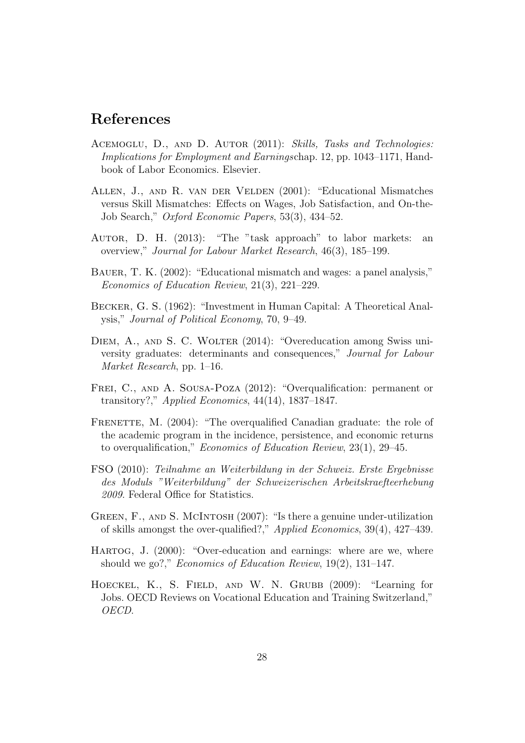## References

- ACEMOGLU, D., AND D. AUTOR (2011): Skills, Tasks and Technologies: Implications for Employment and Earningschap. 12, pp. 1043–1171, Handbook of Labor Economics. Elsevier.
- Allen, J., and R. van der Velden (2001): "Educational Mismatches versus Skill Mismatches: Effects on Wages, Job Satisfaction, and On-the-Job Search," Oxford Economic Papers, 53(3), 434–52.
- Autor, D. H. (2013): "The "task approach" to labor markets: an overview," Journal for Labour Market Research, 46(3), 185–199.
- BAUER, T. K. (2002): "Educational mismatch and wages: a panel analysis," Economics of Education Review, 21(3), 221–229.
- Becker, G. S. (1962): "Investment in Human Capital: A Theoretical Analysis," Journal of Political Economy, 70, 9–49.
- DIEM, A., AND S. C. WOLTER (2014): "Overeducation among Swiss university graduates: determinants and consequences," Journal for Labour Market Research, pp. 1–16.
- FREI, C., AND A. SOUSA-POZA (2012): "Overqualification: permanent or transitory?," Applied Economics,  $44(14)$ , 1837–1847.
- FRENETTE, M. (2004): "The overqualified Canadian graduate: the role of the academic program in the incidence, persistence, and economic returns to overqualification," Economics of Education Review, 23(1), 29–45.
- FSO (2010): Teilnahme an Weiterbildung in der Schweiz. Erste Ergebnisse des Moduls "Weiterbildung" der Schweizerischen Arbeitskraefteerhebung 2009. Federal Office for Statistics.
- GREEN, F., AND S. MCINTOSH (2007): "Is there a genuine under-utilization of skills amongst the over-qualified?," Applied Economics, 39(4), 427–439.
- Hartog, J. (2000): "Over-education and earnings: where are we, where should we go?," *Economics of Education Review*, 19(2), 131–147.
- Hoeckel, K., S. Field, and W. N. Grubb (2009): "Learning for Jobs. OECD Reviews on Vocational Education and Training Switzerland," OECD.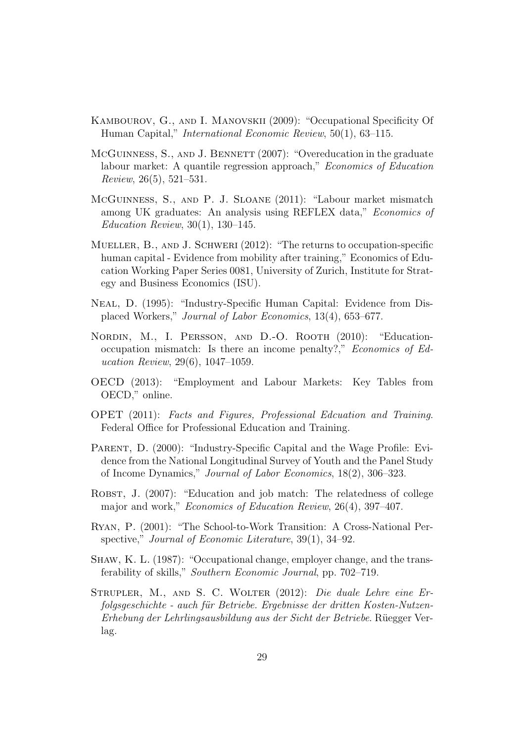- Kambourov, G., and I. Manovskii (2009): "Occupational Specificity Of Human Capital," International Economic Review, 50(1), 63–115.
- McGUINNESS, S., AND J. BENNETT (2007): "Overeducation in the graduate labour market: A quantile regression approach," Economics of Education Review, 26(5), 521–531.
- McGuinness, S., and P. J. Sloane (2011): "Labour market mismatch among UK graduates: An analysis using REFLEX data," Economics of Education Review, 30(1), 130–145.
- Mueller, B., and J. Schweri (2012): "The returns to occupation-specific human capital - Evidence from mobility after training," Economics of Education Working Paper Series 0081, University of Zurich, Institute for Strategy and Business Economics (ISU).
- Neal, D. (1995): "Industry-Specific Human Capital: Evidence from Displaced Workers," Journal of Labor Economics, 13(4), 653–677.
- NORDIN, M., I. PERSSON, AND D.-O. ROOTH (2010): "Educationoccupation mismatch: Is there an income penalty?," Economics of Education Review, 29(6), 1047–1059.
- OECD (2013): "Employment and Labour Markets: Key Tables from OECD," online.
- OPET (2011): Facts and Figures, Professional Edcuation and Training. Federal Office for Professional Education and Training.
- PARENT, D. (2000): "Industry-Specific Capital and the Wage Profile: Evidence from the National Longitudinal Survey of Youth and the Panel Study of Income Dynamics," Journal of Labor Economics, 18(2), 306–323.
- ROBST, J. (2007): "Education and job match: The relatedness of college major and work," Economics of Education Review, 26(4), 397–407.
- Ryan, P. (2001): "The School-to-Work Transition: A Cross-National Perspective," Journal of Economic Literature, 39(1), 34–92.
- Shaw, K. L. (1987): "Occupational change, employer change, and the transferability of skills," Southern Economic Journal, pp. 702–719.
- STRUPLER, M., AND S. C. WOLTER (2012): Die duale Lehre eine Erfolgsgeschichte - auch für Betriebe. Ergebnisse der dritten Kosten-Nutzen-Erhebung der Lehrlingsausbildung aus der Sicht der Betriebe. Rüegger Verlag.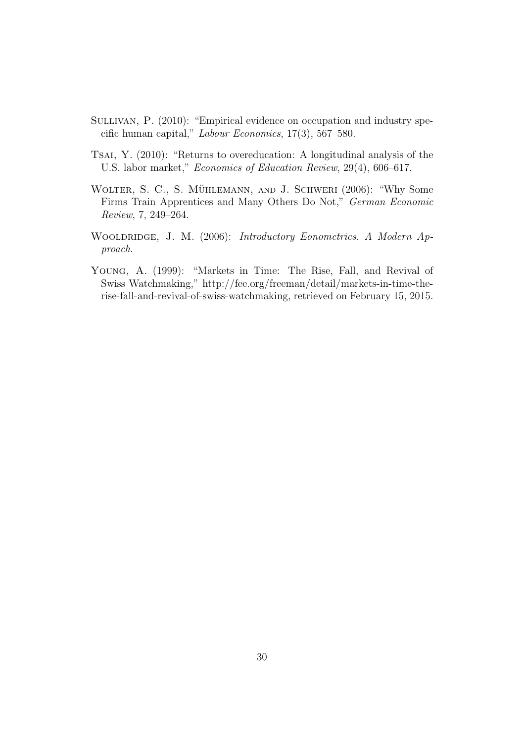- SULLIVAN, P. (2010): "Empirical evidence on occupation and industry specific human capital," Labour Economics, 17(3), 567–580.
- TSAI, Y. (2010): "Returns to overeducation: A longitudinal analysis of the U.S. labor market," Economics of Education Review, 29(4), 606–617.
- WOLTER, S. C., S. MÜHLEMANN, AND J. SCHWERI (2006): "Why Some Firms Train Apprentices and Many Others Do Not," German Economic Review, 7, 249–264.
- WOOLDRIDGE, J. M. (2006): Introductory Eonometrics. A Modern Approach.
- YOUNG, A. (1999): "Markets in Time: The Rise, Fall, and Revival of Swiss Watchmaking," http://fee.org/freeman/detail/markets-in-time-therise-fall-and-revival-of-swiss-watchmaking, retrieved on February 15, 2015.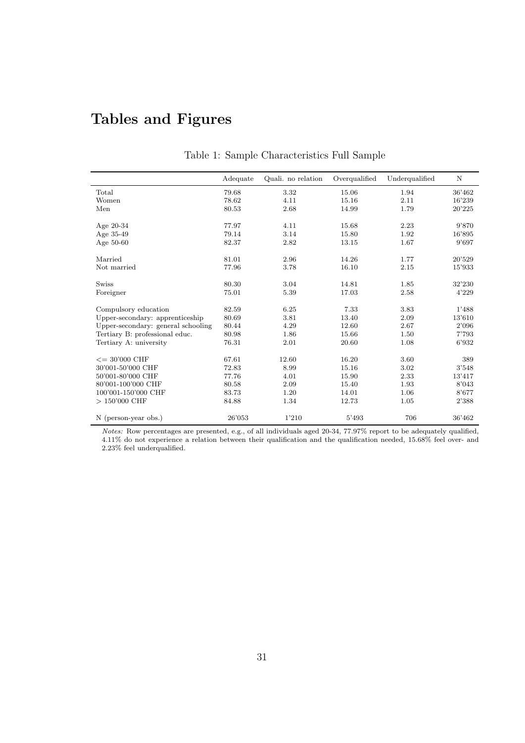## Tables and Figures

|                                    | Adequate | Quali. no relation | Overqualified | Underqualified | N      |
|------------------------------------|----------|--------------------|---------------|----------------|--------|
| Total                              | 79.68    | 3.32               | 15.06         | 1.94           | 36'462 |
| Women                              | 78.62    | 4.11               | 15.16         | 2.11           | 16'239 |
| Men                                | 80.53    | 2.68               | 14.99         | 1.79           | 20'225 |
| Age $20-34$                        | 77.97    | 4.11               | 15.68         | 2.23           | 9'870  |
| Age 35-49                          | 79.14    | 3.14               | 15.80         | 1.92           | 16'895 |
| Age 50-60                          | 82.37    | 2.82               | 13.15         | 1.67           | 9'697  |
| Married                            | 81.01    | 2.96               | 14.26         | 1.77           | 20'529 |
| Not married                        | 77.96    | 3.78               | 16.10         | 2.15           | 15'933 |
| <b>Swiss</b>                       | 80.30    | 3.04               | 14.81         | 1.85           | 32'230 |
| Foreigner                          | 75.01    | 5.39               | 17.03         | 2.58           | 4'229  |
| Compulsory education               | 82.59    | 6.25               | 7.33          | 3.83           | 1'488  |
| Upper-secondary: apprenticeship    | 80.69    | 3.81               | 13.40         | 2.09           | 13'610 |
| Upper-secondary: general schooling | 80.44    | 4.29               | 12.60         | 2.67           | 2'096  |
| Tertiary B: professional educ.     | 80.98    | 1.86               | 15.66         | 1.50           | 7'793  |
| Tertiary A: university             | 76.31    | 2.01               | 20.60         | 1.08           | 6'932  |
| $\epsilon = 30'000 \text{ CHF}$    | 67.61    | 12.60              | 16.20         | 3.60           | 389    |
| 30'001-50'000 CHF                  | 72.83    | 8.99               | 15.16         | 3.02           | 3'548  |
| 50'001-80'000 CHF                  | 77.76    | 4.01               | 15.90         | 2.33           | 13'417 |
| 80'001-100'000 CHF                 | 80.58    | 2.09               | 15.40         | 1.93           | 8'043  |
| 100'001-150'000 CHF                | 83.73    | 1.20               | 14.01         | 1.06           | 8'677  |
| $> 150'000$ CHF                    | 84.88    | 1.34               | 12.73         | 1.05           | 2'388  |
| N (person-year obs.)               | 26'053   | 1'210              | 5'493         | 706            | 36'462 |

#### Table 1: Sample Characteristics Full Sample

Notes: Row percentages are presented, e.g., of all individuals aged 20-34, 77.97% report to be adequately qualified, 4.11% do not experience a relation between their qualification and the qualification needed, 15.68% feel over- and 2.23% feel underqualified.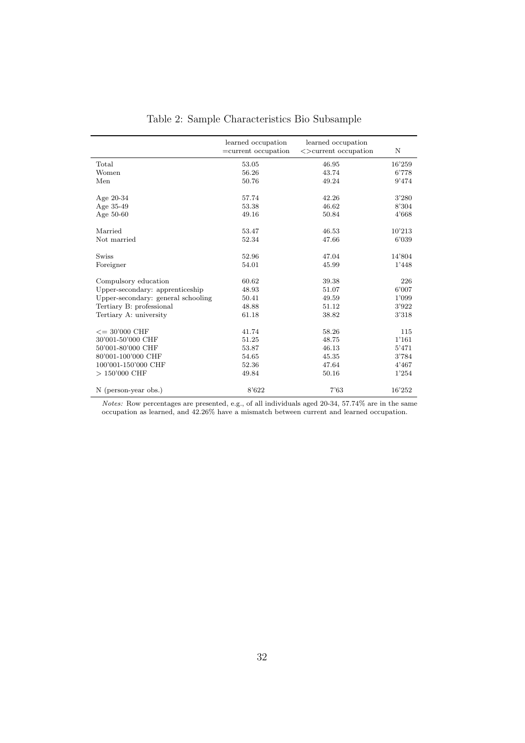|                                    | learned occupation<br>$=$ current occupation | learned occupation<br>$\le$ > current occupation | N      |
|------------------------------------|----------------------------------------------|--------------------------------------------------|--------|
| Total                              | 53.05                                        | 46.95                                            | 16'259 |
| Women                              | 56.26                                        | 43.74                                            | 6'778  |
| Men                                | 50.76                                        | 49.24                                            | 9'474  |
| Age $20-34$                        | 57.74                                        | 42.26                                            | 3'280  |
| Age 35-49                          | 53.38                                        | 46.62                                            | 8'304  |
| Age 50-60                          | 49.16                                        | 50.84                                            | 4'668  |
| Married                            | 53.47                                        | 46.53                                            | 10'213 |
| Not married                        | 52.34                                        | 47.66                                            | 6'039  |
| <b>Swiss</b>                       | 52.96                                        | 47.04                                            | 14'804 |
| Foreigner                          | 54.01                                        | 45.99                                            | 1'448  |
| Compulsory education               | 60.62                                        | 39.38                                            | 226    |
| Upper-secondary: apprenticeship    | 48.93                                        | 51.07                                            | 6'007  |
| Upper-secondary: general schooling | 50.41                                        | 49.59                                            | 1'099  |
| Tertiary B: professional           | 48.88                                        | 51.12                                            | 3'922  |
| Tertiary A: university             | 61.18                                        | 38.82                                            | 3'318  |
| $\epsilon = 30'000 \text{ CHF}$    | 41.74                                        | 58.26                                            | 115    |
| 30'001-50'000 CHF                  | 51.25                                        | 48.75                                            | 1'161  |
| 50'001-80'000 CHF                  | 53.87                                        | 46.13                                            | 5'471  |
| 80'001-100'000 CHF                 | 54.65                                        | 45.35                                            | 3'784  |
| 100'001-150'000 CHF                | 52.36                                        | 47.64                                            | 4'467  |
| $> 150'000$ CHF                    | 49.84                                        | 50.16                                            | 1'254  |
| N (person-year obs.)               | 8'622                                        | 7'63                                             | 16'252 |

Table 2: Sample Characteristics Bio Subsample

Notes: Row percentages are presented, e.g., of all individuals aged 20-34, 57.74% are in the same occupation as learned, and 42.26% have a mismatch between current and learned occupation.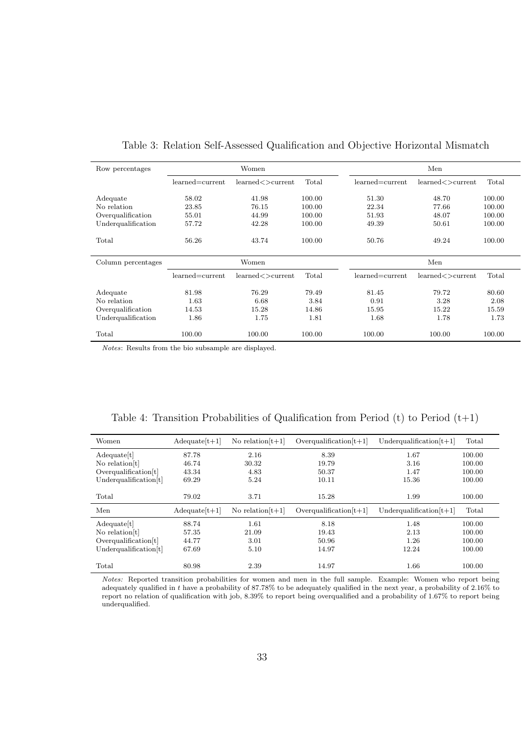| Row percentages    | Women               |                           |        | Men             |                  |        |  |
|--------------------|---------------------|---------------------------|--------|-----------------|------------------|--------|--|
|                    | learned=current     | $learned <$ $\gt$ current | Total  | learned=current | learned<>current | Total  |  |
| Adequate           | 58.02               | 41.98                     | 100.00 | 51.30           | 48.70            | 100.00 |  |
| No relation        | 23.85               | 76.15                     | 100.00 | 22.34           | 77.66            | 100.00 |  |
| Overqualification  | 55.01               | 44.99                     | 100.00 | 51.93           | 48.07            | 100.00 |  |
| Underqualification | 57.72               | 42.28                     | 100.00 | 49.39           | 50.61            | 100.00 |  |
| Total              | 56.26               | 43.74                     | 100.00 | 50.76           | 49.24            | 100.00 |  |
| Column percentages |                     |                           |        |                 |                  |        |  |
|                    |                     | Women                     |        |                 | Men              |        |  |
|                    | $learned = current$ | learned <> current        | Total  | learned=current | learned<>current | Total  |  |
| Adequate           | 81.98               | 76.29                     | 79.49  | 81.45           | 79.72            | 80.60  |  |
| No relation        | 1.63                | 6.68                      | 3.84   | 0.91            | 3.28             | 2.08   |  |
| Overqualification  | 14.53               | 15.28                     | 14.86  | 15.95           | 15.22            | 15.59  |  |
| Underqualification | 1.86                | 1.75                      | 1.81   | 1.68            | 1.78             | 1.73   |  |

Table 3: Relation Self-Assessed Qualification and Objective Horizontal Mismatch

Notes: Results from the bio subsample are displayed.

|  | Table 4: Transition Probabilities of Qualification from Period $(t)$ to Period $(t+1)$ |  |  |  |  |
|--|----------------------------------------------------------------------------------------|--|--|--|--|
|--|----------------------------------------------------------------------------------------|--|--|--|--|

| $Adequate[t+1]$ | No relation $[t+1]$ | $Overqualification[t+1]$  | Underqualification $[t+1]$ | Total                          |
|-----------------|---------------------|---------------------------|----------------------------|--------------------------------|
| 87.78           | 2.16                | 8.39                      | 1.67                       | 100.00                         |
| 46.74           | 30.32               | 19.79                     | 3.16                       | 100.00                         |
| 43.34           | 4.83                | 50.37                     | 1.47                       | 100.00                         |
| 69.29           | 5.24                | 10.11                     | 15.36                      | 100.00                         |
|                 |                     |                           |                            |                                |
| 79.02           | 3.71                | 15.28                     | 1.99                       | 100.00                         |
| $Adequate[t+1]$ | No relation $[t+1]$ | Overqualification $[t+1]$ | Underqualification $[t+1]$ | Total                          |
| 88.74           | 1.61                | 8.18                      | 1.48                       | 100.00                         |
| 57.35           | 21.09               | 19.43                     | 2.13                       | 100.00                         |
| 44.77           | 3.01                | 50.96                     | 1.26                       | 100.00                         |
| 67.69           | 5.10                | 14.97                     | 12.24                      | 100.00                         |
|                 |                     |                           |                            | 100.00                         |
|                 |                     |                           |                            | 2.39<br>1.66<br>80.98<br>14.97 |

Notes: Reported transition probabilities for women and men in the full sample. Example: Women who report being adequately qualified in t have a probability of 87.78% to be adequately qualified in the next year, a probability of 2.16% to report no relation of qualification with job, 8.39% to report being overqualified and a probability of 1.67% to report being underqualified.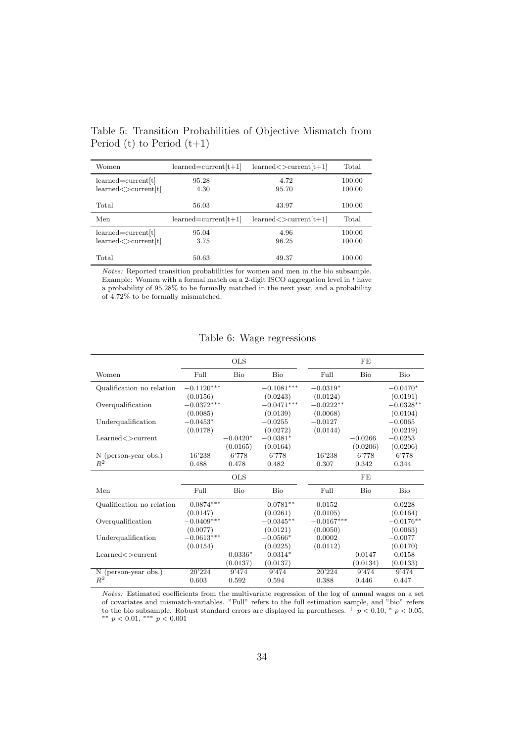| Women                                                 | $learned = current[t+1]$ | $learned < >current[t+1]$ | Total            |
|-------------------------------------------------------|--------------------------|---------------------------|------------------|
| $learned = current t $<br>learned < >current[t]       | 95.28<br>4.30            | 4.72<br>95.70             | 100.00<br>100.00 |
| Total                                                 | 56.03                    | 43.97                     | 100.00           |
| Men                                                   | $learned = current[t+1]$ | $learned < >current[t+1]$ | Total            |
|                                                       |                          |                           |                  |
| $learned = current[t]$<br>$learned <$ > current $[t]$ | 95.04<br>3.75            | 4.96<br>96.25             | 100.00<br>100.00 |

Table 5: Transition Probabilities of Objective Mismatch from Period (t) to Period  $(t+1)$ 

Notes: Reported transition probabilities for women and men in the bio subsample. Example: Women with a formal match on a 2-digit ISCO aggregation level in t have a probability of 95.28% to be formally matched in the next year, and a probability of 4.72% to be formally mismatched.

|                                         |              | <b>OLS</b> |              |              | FE        |             |
|-----------------------------------------|--------------|------------|--------------|--------------|-----------|-------------|
| Women                                   | Full         | Bio        | Bio          | Full         | Bio       | Bio         |
| Qualification no relation               | $-0.1120***$ |            | $-0.1081***$ | $-0.0319*$   |           | $-0.0470*$  |
|                                         | (0.0156)     |            | (0.0243)     | (0.0124)     |           | (0.0191)    |
| Overqualification                       | $-0.0372***$ |            | $-0.0471***$ | $-0.0222**$  |           | $-0.0328**$ |
|                                         | (0.0085)     |            | (0.0139)     | (0.0068)     |           | (0.0104)    |
| Underqualification                      | $-0.0453*$   |            | $-0.0255$    | $-0.0127$    |           | $-0.0065$   |
|                                         | (0.0178)     |            | (0.0272)     | (0.0144)     |           | (0.0219)    |
| $\text{Learned} \ll \gt \text{current}$ |              | $-0.0420*$ | $-0.0381*$   |              | $-0.0266$ | $-0.0253$   |
|                                         |              | (0.0165)   | (0.0164)     |              | (0.0206)  | (0.0206)    |
| N (person-year obs.)                    | 16'238       | 6'778      | 6'778        | 16'238       | 6'778     | 6'778       |
| $R^2$                                   | 0.488        | 0.478      | 0.482        | 0.307        | 0.342     | 0.344       |
|                                         |              |            |              |              |           |             |
|                                         |              | <b>OLS</b> |              |              | FE        |             |
| Men                                     | Full         | Bio        | Bio          | Full         | Bio       | Bio         |
| Qualification no relation               | $-0.0874***$ |            | $-0.0781**$  | $-0.0152$    |           | $-0.0228$   |
|                                         | (0.0147)     |            | (0.0261)     | (0.0105)     |           | (0.0164)    |
| Overqualification                       | $-0.0409***$ |            | $-0.0345**$  | $-0.0167***$ |           | $-0.0176**$ |
|                                         | (0.0077)     |            | (0.0121)     | (0.0050)     |           | (0.0063)    |
| Underqualification                      | $-0.0613***$ |            | $-0.0566*$   | 0.0002       |           | $-0.0077$   |
|                                         | (0.0154)     |            | (0.0225)     | (0.0112)     |           | (0.0170)    |
| Learned<>current                        |              | $-0.0336*$ | $-0.0314*$   |              | 0.0147    | 0.0158      |
|                                         |              | (0.0137)   | (0.0137)     |              | (0.0134)  | (0.0133)    |
| Ν<br>(person-year obs.)<br>$R^2$        | 20'224       | 9'474      | 9'474        | 20'224       | 9'474     | 9'474       |

Table 6: Wage regressions

Notes: Estimated coefficients from the multivariate regression of the log of annual wages on a set of covariates and mismatch-variables. "Full" refers to the full estimation sample, and "bio" refers to the bio subsample. Robust standard errors are displayed in parentheses.  $+p < 0.10, * p < 0.05$ ,

∗∗ p < 0.01, ∗∗∗ p < 0.001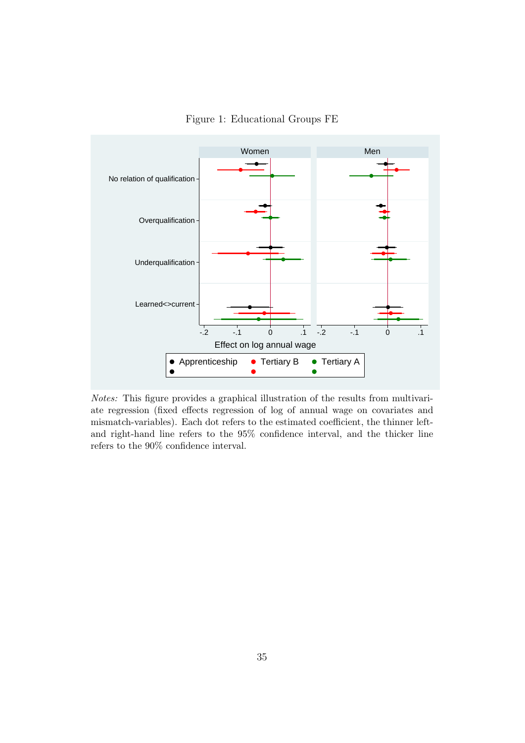

Figure 1: Educational Groups FE

Notes: This figure provides a graphical illustration of the results from multivariate regression (fixed effects regression of log of annual wage on covariates and mismatch-variables). Each dot refers to the estimated coefficient, the thinner leftand right-hand line refers to the 95% confidence interval, and the thicker line refers to the 90% confidence interval.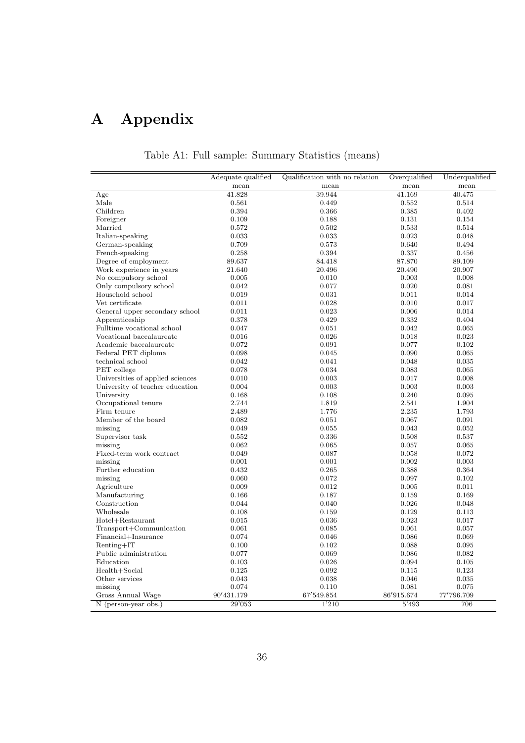# A Appendix

|                                  | Adequate qualified | Qualification with no relation | Overqualified | Underqualified |
|----------------------------------|--------------------|--------------------------------|---------------|----------------|
|                                  | mean               | mean                           | mean          | mean           |
| Age                              | 41.828             | 39.944                         | 41.169        | 40.475         |
| Male                             | 0.561              | 0.449                          | 0.552         | 0.514          |
| Children                         | 0.394              | 0.366                          | 0.385         | 0.402          |
| Foreigner                        | 0.109              | 0.188                          | 0.131         | 0.154          |
| Married                          | 0.572              | 0.502                          | 0.533         | 0.514          |
| Italian-speaking                 | 0.033              | 0.033                          | 0.023         | 0.048          |
| German-speaking                  | 0.709              | 0.573                          | 0.640         | 0.494          |
| French-speaking                  | 0.258              | 0.394                          | 0.337         | 0.456          |
| Degree of employment             | 89.637             | 84.418                         | 87.870        | 89.109         |
| Work experience in years         | 21.640             | 20.496                         | 20.490        | 20.907         |
| No compulsory school             | 0.005              | 0.010                          | 0.003         | 0.008          |
| Only compulsory school           | 0.042              | 0.077                          | 0.020         | 0.081          |
| Household school                 | 0.019              | 0.031                          | 0.011         | 0.014          |
| Vet certificate                  | 0.011              | 0.028                          | 0.010         | 0.017          |
| General upper secondary school   | 0.011              | 0.023                          | 0.006         | 0.014          |
| Apprenticeship                   | 0.378              | 0.429                          | 0.332         | 0.404          |
| Fulltime vocational school       | 0.047              | 0.051                          | 0.042         | 0.065          |
| Vocational baccalaureate         | 0.016              | 0.026                          | 0.018         | 0.023          |
| Academic baccalaureate           | 0.072              | 0.091                          | 0.077         | 0.102          |
| Federal PET diploma              | 0.098              | 0.045                          | 0.090         | 0.065          |
| technical school                 | 0.042              | 0.041                          | 0.048         | 0.035          |
| PET college                      | 0.078              | 0.034                          | 0.083         | 0.065          |
| Universities of applied sciences | 0.010              | 0.003                          | 0.017         | 0.008          |
| University of teacher education  | 0.004              | 0.003                          | 0.003         | 0.003          |
| University                       | 0.168              | 0.108                          | 0.240         | 0.095          |
| Occupational tenure              | 2.744              | 1.819                          | 2.541         | 1.904          |
| Firm tenure                      | 2.489              | 1.776                          | 2.235         | 1.793          |
| Member of the board              | 0.082              | 0.051                          | 0.067         | 0.091          |
| missing                          | 0.049              | 0.055                          | 0.043         | 0.052          |
| Supervisor task                  | 0.552              | 0.336                          | 0.508         | 0.537          |
| missing                          | 0.062              | 0.065                          | 0.057         | 0.065          |
| Fixed-term work contract         | 0.049              | 0.087                          | 0.058         | 0.072          |
| missing                          | 0.001              | 0.001                          | 0.002         | 0.003          |
| Further education                | 0.432              | 0.265                          | 0.388         | 0.364          |
| missing                          | 0.060              | 0.072                          | 0.097         | 0.102          |
| Agriculture                      | 0.009              | 0.012                          | 0.005         | 0.011          |
| Manufacturing                    | 0.166              | 0.187                          | 0.159         | 0.169          |
| Construction                     | 0.044              | 0.040                          | 0.026         | 0.048          |
| Wholesale                        | 0.108              | 0.159                          | 0.129         | 0.113          |
| Hotel+Restaurant                 | 0.015              | 0.036                          | 0.023         | 0.017          |
| Transport+Communication          | 0.061              | 0.085                          | 0.061         | 0.057          |
| Financial+Insurance              | 0.074              | 0.046                          | 0.086         | 0.069          |
| $Renting+IT$                     | 0.100              | 0.102                          | 0.088         | 0.095          |
| Public administration            | 0.077              | 0.069                          | 0.086         | 0.082          |
| Education                        | 0.103              | 0.026                          | 0.094         | 0.105          |
| Health+Social                    | 0.125              | 0.092                          | 0.115         | 0.123          |
| Other services                   | 0.043              | 0.038                          | 0.046         | 0.035          |
| missing                          | 0.074              | 0.110                          | 0.081         | 0.075          |
| Gross Annual Wage                | 90'431.179         | 67'549.854                     | 86'915.674    | 77'796.709     |
| N (person-year obs.)             | 29'053             | 1'210                          | 5'493         | 706            |

## Table A1: Full sample: Summary Statistics (means)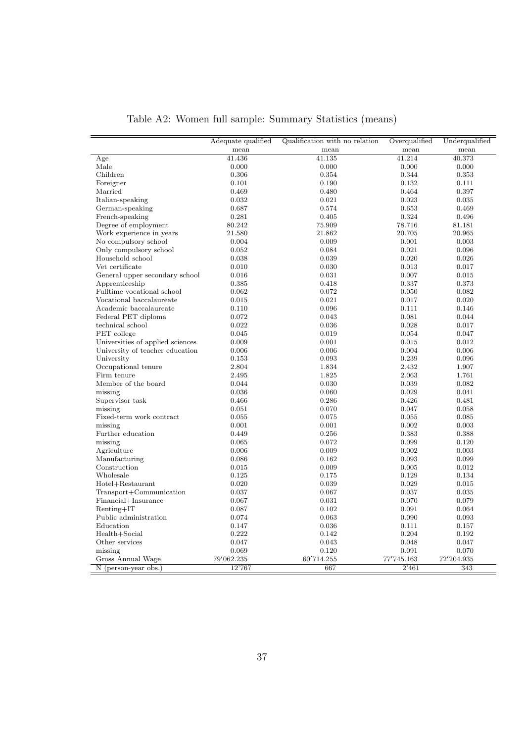|                                  | Adequate qualified | Qualification with no relation | Overqualified | Underqualified |
|----------------------------------|--------------------|--------------------------------|---------------|----------------|
|                                  | mean               | mean                           | mean          | mean           |
| Age                              | 41.436             | 41.135                         | 41.214        | 40.373         |
| Male                             | 0.000              | 0.000                          | 0.000         | 0.000          |
| Children                         | 0.306              | 0.354                          | 0.344         | 0.353          |
| Foreigner                        | 0.101              | 0.190                          | 0.132         | 0.111          |
| Married                          | 0.469              | 0.480                          | 0.464         | 0.397          |
| Italian-speaking                 | 0.032              | 0.021                          | 0.023         | 0.035          |
| German-speaking                  | 0.687              | 0.574                          | 0.653         | 0.469          |
| French-speaking                  | 0.281              | 0.405                          | 0.324         | 0.496          |
| Degree of employment             | 80.242             | 75.909                         | 78.716        | 81.181         |
| Work experience in years         | 21.580             | 21.862                         | 20.705        | 20.965         |
| No compulsory school             | 0.004              | 0.009                          | 0.001         | 0.003          |
| Only compulsory school           | 0.052              | 0.084                          | 0.021         | 0.096          |
| Household school                 | 0.038              | 0.039                          | 0.020         | 0.026          |
| Vet certificate                  | 0.010              | 0.030                          | 0.013         | 0.017          |
| General upper secondary school   | 0.016              | 0.031                          | 0.007         | 0.015          |
| Apprenticeship                   | 0.385              | 0.418                          | 0.337         | 0.373          |
| Fulltime vocational school       | 0.062              | 0.072                          | 0.050         | 0.082          |
| Vocational baccalaureate         | 0.015              | 0.021                          | 0.017         | 0.020          |
| Academic baccalaureate           | 0.110              | 0.096                          | 0.111         | 0.146          |
| Federal PET diploma              | 0.072              | 0.043                          | 0.081         | 0.044          |
| technical school                 | 0.022              | 0.036                          | 0.028         | 0.017          |
| PET college                      | 0.045              | 0.019                          | 0.054         | 0.047          |
| Universities of applied sciences | 0.009              | 0.001                          | 0.015         | 0.012          |
| University of teacher education  | 0.006              | 0.006                          | 0.004         | 0.006          |
| University                       | 0.153              | 0.093                          | 0.239         | 0.096          |
| Occupational tenure              | 2.804              | 1.834                          | 2.432         | 1.907          |
| Firm tenure                      | 2.495              | 1.825                          | 2.063         | 1.761          |
| Member of the board              | 0.044              | 0.030                          | 0.039         | 0.082          |
| missing                          | 0.036              | 0.060                          | 0.029         | 0.041          |
| Supervisor task                  | 0.466              | 0.286                          | 0.426         | 0.481          |
| missing                          | 0.051              | 0.070                          | 0.047         | 0.058          |
| Fixed-term work contract         | 0.055              | 0.075                          | 0.055         | 0.085          |
| missing                          | 0.001              | 0.001                          | 0.002         | 0.003          |
| Further education                | 0.449              | 0.256                          | 0.383         | 0.388          |
| missing                          | 0.065              | 0.072                          | 0.099         | 0.120          |
| Agriculture                      | 0.006              | 0.009                          | 0.002         | 0.003          |
| Manufacturing                    | 0.086              | 0.162                          | 0.093         | 0.099          |
| Construction                     | 0.015              | 0.009                          | 0.005         | 0.012          |
| Wholesale                        | 0.125              | 0.175                          | 0.129         | 0.134          |
| Hotel+Restaurant                 | 0.020              | 0.039                          | 0.029         | 0.015          |
| Transport+Communication          | 0.037              | 0.067                          | 0.037         | 0.035          |
| Financial+Insurance              | 0.067              | 0.031                          | 0.070         | 0.079          |
| $Renting+IT$                     | 0.087              | 0.102                          | 0.091         | 0.064          |
| Public administration            | 0.074              | 0.063                          | 0.090         | 0.093          |
| Education                        | 0.147              | 0.036                          | 0.111         | 0.157          |
|                                  |                    |                                |               |                |
| Health+Social                    | 0.222              | 0.142                          | 0.204         | 0.192          |
| Other services                   | 0.047              | 0.043                          | 0.048         | 0.047          |
| missing                          | 0.069              | 0.120                          | 0.091         | 0.070          |
| Gross Annual Wage                | 79'062.235         | 60'714.255                     | 77'745.163    | 72'204.935     |
| N (person-year obs.)             | 12'767             | 667                            | 2'461         | 343            |

Table A2: Women full sample: Summary Statistics (means)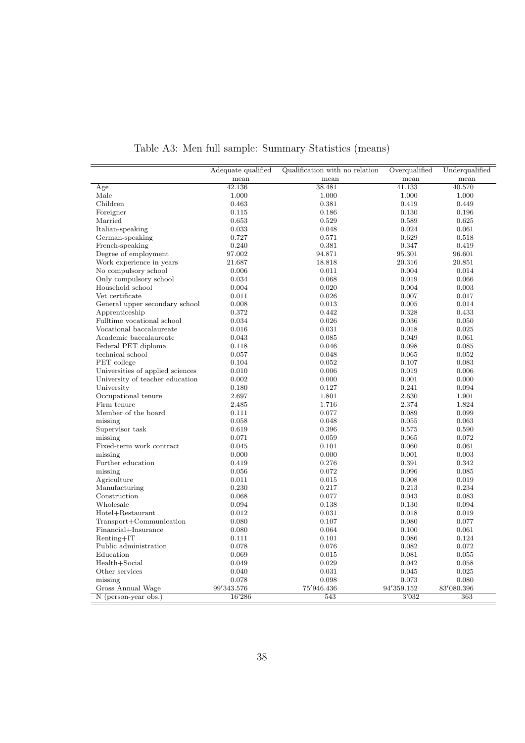|                                  | Adequate qualified | Qualification with no relation | Overqualified  | Underqualified |
|----------------------------------|--------------------|--------------------------------|----------------|----------------|
|                                  | mean               | mean                           | mean           | mean           |
| Age                              | 42.136             | 38.481                         | 41.133         | 40.570         |
| Male                             | 1.000              | 1.000                          | 1.000          | 1.000          |
| Children                         | 0.463              | 0.381                          | 0.419          | 0.449          |
| Foreigner                        | 0.115              | 0.186                          | 0.130          | 0.196          |
| Married                          | 0.653              | 0.529                          | 0.589          | 0.625          |
| Italian-speaking                 | 0.033              | 0.048                          | 0.024          | 0.061          |
| German-speaking                  | 0.727              | 0.571                          | 0.629          | 0.518          |
| French-speaking                  | 0.240              | 0.381                          | 0.347          | 0.419          |
| Degree of employment             | 97.002             | 94.871                         | 95.301         | 96.601         |
| Work experience in years         | 21.687             | 18.818                         | 20.316         | 20.851         |
| No compulsory school             | 0.006              | 0.011                          | 0.004          | 0.014          |
| Only compulsory school           | 0.034              | 0.068                          | 0.019          | 0.066          |
| Household school                 | 0.004              | 0.020                          | 0.004          | 0.003          |
| Vet certificate                  | 0.011              | 0.026                          | 0.007          | 0.017          |
| General upper secondary school   | 0.008              | 0.013                          | 0.005          | 0.014          |
| Apprenticeship                   | 0.372              | 0.442                          | 0.328          | 0.433          |
| Fulltime vocational school       | 0.034              | 0.026                          | 0.036          | 0.050          |
| Vocational baccalaureate         | 0.016              | 0.031                          | 0.018          | 0.025          |
| Academic baccalaureate           | 0.043              | 0.085                          | 0.049          | 0.061          |
| Federal PET diploma              | 0.118              | 0.046                          | 0.098          | 0.085          |
| technical school                 | 0.057              | 0.048                          | 0.065          | 0.052          |
| PET college                      | 0.104              | 0.052                          | 0.107          | 0.083          |
| Universities of applied sciences | 0.010              | 0.006                          | 0.019          | 0.006          |
| University of teacher education  | 0.002              | 0.000                          | 0.001          | 0.000          |
| University                       | 0.180              | 0.127                          | 0.241          | 0.094          |
| Occupational tenure              | 2.697              | 1.801                          | 2.630          | 1.901          |
| Firm tenure                      | 2.485              | 1.716                          | 2.374          | 1.824          |
| Member of the board              | 0.111              | 0.077                          | 0.089          | 0.099          |
| missing                          | 0.058              | 0.048                          | 0.055          | 0.063          |
| Supervisor task                  | 0.619              | 0.396                          | 0.575          | 0.590          |
| missing                          | $\rm 0.071$        | 0.059                          | 0.065          | 0.072          |
| Fixed-term work contract         | 0.045              | 0.101                          | 0.060          | 0.061          |
| missing                          | 0.000              | 0.000                          | 0.001          | 0.003          |
| Further education                | 0.419              | 0.276                          | 0.391          | 0.342          |
| missing                          | 0.056              | 0.072                          | 0.096          | 0.085          |
| Agriculture                      | 0.011              | 0.015                          | 0.008          | 0.019          |
| Manufacturing                    | 0.230              | 0.217                          | 0.213          | 0.234          |
| Construction                     | 0.068              | 0.077                          | 0.043          | 0.083          |
| Wholesale                        | 0.094              |                                |                |                |
|                                  | 0.012              | 0.138<br>0.031                 | 0.130<br>0.018 | 0.094<br>0.019 |
| Hotel+Restaurant                 | 0.080              | 0.107                          |                | 0.077          |
| Transport+Communication          |                    |                                | 0.080          |                |
| Financial+Insurance              | 0.080              | 0.064                          | 0.100          | 0.061          |
| $Renting+IT$                     | 0.111              | 0.101                          | 0.086          | 0.124          |
| Public administration            | 0.078              | 0.076                          | 0.082          | 0.072          |
| Education                        | 0.069              | 0.015                          | 0.081          | 0.055          |
| Health+Social                    | 0.049              | 0.029                          | 0.042          | 0.058          |
| Other services                   | 0.040              | 0.031                          | 0.045          | 0.025          |
| missing                          | 0.078              | 0.098                          | 0.073          | 0.080          |
| Gross Annual Wage                | 99'343.576         | 75'946.436                     | 94'359.152     | 83'080.396     |
| N (person-year obs.)             | 16'286             | 543                            | 3'032          | 363            |

Table A3: Men full sample: Summary Statistics (means)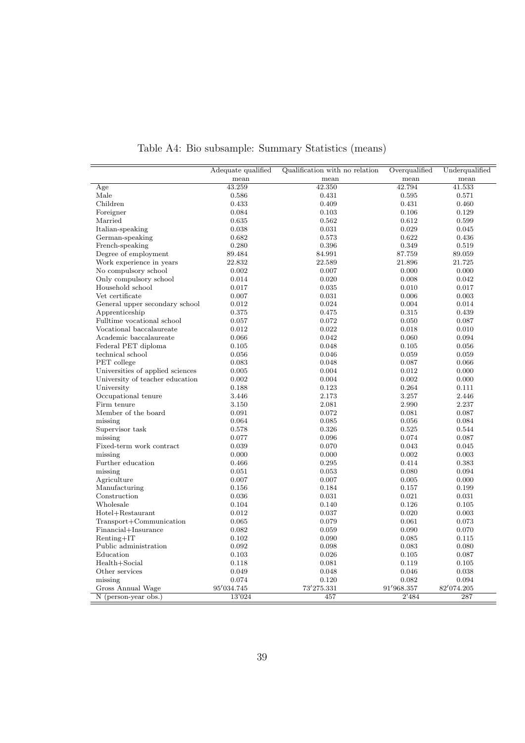|                                       | Adequate qualified | Qualification with no relation | Overqualified | Underqualified |
|---------------------------------------|--------------------|--------------------------------|---------------|----------------|
|                                       | mean               | mean                           | mean          | mean           |
| Age                                   | 43.259             | 42.350                         | 42.794        | 41.533         |
| Male                                  | 0.586              | 0.431                          | 0.595         | 0.571          |
| Children                              | 0.433              | 0.409                          | 0.431         | 0.460          |
| Foreigner                             | 0.084              | 0.103                          | 0.106         | 0.129          |
| Married                               | 0.635              | 0.562                          | 0.612         | 0.599          |
| Italian-speaking                      | 0.038              | 0.031                          | 0.029         | 0.045          |
| German-speaking                       | 0.682              | 0.573                          | 0.622         | 0.436          |
| French-speaking                       | 0.280              | 0.396                          | 0.349         | 0.519          |
| Degree of employment                  | 89.484             | 84.991                         | 87.759        | 89.059         |
| Work experience in years              | 22.832             | 22.589                         | 21.896        | 21.725         |
| No compulsory school                  | 0.002              | 0.007                          | 0.000         | 0.000          |
| Only compulsory school                | 0.014              | 0.020                          | 0.008         | 0.042          |
| Household school                      | 0.017              | 0.035                          | 0.010         | 0.017          |
| Vet certificate                       | 0.007              | 0.031                          | 0.006         | 0.003          |
| General upper secondary school        | 0.012              | 0.024                          | 0.004         | 0.014          |
| Apprenticeship                        | 0.375              | 0.475                          | 0.315         | 0.439          |
| Fulltime vocational school            | 0.057              | 0.072                          | 0.050         | 0.087          |
| Vocational baccalaureate              | 0.012              | 0.022                          | 0.018         | 0.010          |
| Academic baccalaureate                | 0.066              | 0.042                          | 0.060         | 0.094          |
| Federal PET diploma                   | 0.105              | 0.048                          | 0.105         | 0.056          |
| technical school                      | 0.056              | 0.046                          | 0.059         | 0.059          |
| PET college                           | 0.083              | 0.048                          | 0.087         | 0.066          |
| Universities of applied sciences      | 0.005              | 0.004                          | 0.012         | 0.000          |
| University of teacher education       | 0.002              | 0.004                          | 0.002         | 0.000          |
| University                            | 0.188              | 0.123                          | 0.264         | 0.111          |
| Occupational tenure                   | 3.446              | 2.173                          | 3.257         | 2.446          |
| Firm tenure                           | 3.150              | 2.081                          | 2.990         | 2.237          |
| Member of the board                   | 0.091              | 0.072                          | 0.081         | 0.087          |
| missing                               | 0.064              | 0.085                          | 0.056         | 0.084          |
| Supervisor task                       | 0.578              | 0.326                          | 0.525         | 0.544          |
| missing                               | 0.077              | 0.096                          | 0.074         | 0.087          |
| Fixed-term work contract              | 0.039              | 0.070                          | 0.043         | 0.045          |
| missing                               | 0.000              | 0.000                          | 0.002         | 0.003          |
| Further education                     | 0.466              | 0.295                          | 0.414         | 0.383          |
| missing                               | 0.051              | 0.053                          | 0.080         | 0.094          |
| Agriculture                           | 0.007              | 0.007                          | 0.005         | 0.000          |
| Manufacturing                         | 0.156              | 0.184                          | 0.157         | 0.199          |
| Construction                          | 0.036              | 0.031                          | 0.021         | 0.031          |
| Wholesale                             | 0.104              | 0.140                          | 0.126         | 0.105          |
| Hotel+Restaurant                      | 0.012              | 0.037                          | 0.020         | 0.003          |
| Transport+Communication               | 0.065              | 0.079                          | 0.061         | 0.073          |
| Financial+Insurance                   | 0.082              | 0.059                          | 0.090         | 0.070          |
|                                       |                    |                                |               |                |
| $Renting+IT$<br>Public administration | 0.102              | 0.090                          | 0.085         | 0.115          |
|                                       | 0.092              | 0.098                          | 0.083         | 0.080          |
| Education                             | 0.103              | 0.026                          | 0.105         | 0.087          |
| Health+Social                         | 0.118              | 0.081                          | 0.119         | 0.105          |
| Other services                        | 0.049              | 0.048                          | 0.046         | 0.038          |
| missing                               | 0.074              | 0.120                          | 0.082         | 0.094          |
| Gross Annual Wage                     | 95'034.745         | 73'275.331                     | 91'968.357    | 82'074.205     |
| N (person-year obs.)                  | 13'024             | 457                            | 2'484         | 287            |

Table A4: Bio subsample: Summary Statistics (means)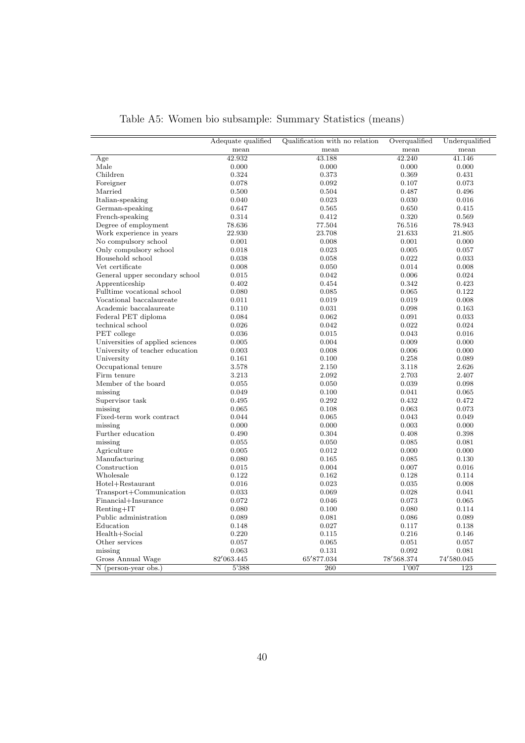|                                  | Adequate qualified<br>mean | Qualification with no relation<br>mean | Overqualified<br>mean | Underqualified<br>mean |
|----------------------------------|----------------------------|----------------------------------------|-----------------------|------------------------|
| Age                              | 42.932                     | 43.188                                 | 42.240                | 41.146                 |
| Male                             | 0.000                      | 0.000                                  | 0.000                 | 0.000                  |
| Children                         | 0.324                      | 0.373                                  | 0.369                 | 0.431                  |
|                                  |                            |                                        |                       |                        |
| Foreigner                        | 0.078                      | 0.092                                  | 0.107                 | 0.073                  |
| Married                          | 0.500                      | 0.504                                  | 0.487                 | 0.496                  |
| Italian-speaking                 | 0.040                      | 0.023                                  | 0.030                 | 0.016                  |
| German-speaking                  | 0.647                      | 0.565                                  | 0.650                 | 0.415                  |
| French-speaking                  | 0.314                      | 0.412                                  | 0.320                 | 0.569                  |
| Degree of employment             | 78.636                     | 77.504                                 | 76.516                | 78.943                 |
| Work experience in years         | 22.930                     | 23.708                                 | 21.633                | 21.805                 |
| No compulsory school             | 0.001                      | 0.008                                  | 0.001                 | 0.000                  |
| Only compulsory school           | 0.018                      | 0.023                                  | 0.005                 | 0.057                  |
| Household school                 | 0.038                      | 0.058                                  | 0.022                 | 0.033                  |
| Vet certificate                  | 0.008                      | 0.050                                  | 0.014                 | 0.008                  |
| General upper secondary school   | 0.015                      | 0.042                                  | 0.006                 | 0.024                  |
| Apprenticeship                   | 0.402                      | 0.454                                  | 0.342                 | 0.423                  |
| Fulltime vocational school       | 0.080                      | 0.085                                  | 0.065                 | 0.122                  |
| Vocational baccalaureate         | 0.011                      | 0.019                                  | 0.019                 | 0.008                  |
| Academic baccalaureate           | 0.110                      | 0.031                                  | 0.098                 | 0.163                  |
| Federal PET diploma              | 0.084                      | 0.062                                  | 0.091                 | 0.033                  |
| technical school                 | 0.026                      | 0.042                                  | 0.022                 | 0.024                  |
| PET college                      | 0.036                      | 0.015                                  | 0.043                 | 0.016                  |
| Universities of applied sciences | 0.005                      | 0.004                                  | 0.009                 | 0.000                  |
| University of teacher education  | 0.003                      | 0.008                                  | 0.006                 | 0.000                  |
| University                       | 0.161                      | 0.100                                  | 0.258                 | 0.089                  |
| Occupational tenure              | 3.578                      | 2.150                                  | 3.118                 | 2.626                  |
| Firm tenure                      | 3.213                      | 2.092                                  | 2.703                 | 2.407                  |
| Member of the board              | 0.055                      | 0.050                                  | 0.039                 | 0.098                  |
| missing                          | 0.049                      | 0.100                                  | 0.041                 | 0.065                  |
| Supervisor task                  | 0.495                      | 0.292                                  | 0.432                 | 0.472                  |
| missing                          | 0.065                      | 0.108                                  | 0.063                 | 0.073                  |
| Fixed-term work contract         | 0.044                      | 0.065                                  | 0.043                 | 0.049                  |
| missing                          | 0.000                      | 0.000                                  | 0.003                 | 0.000                  |
| Further education                | 0.490                      | 0.304                                  | 0.408                 | 0.398                  |
| missing                          | 0.055                      | 0.050                                  | 0.085                 | 0.081                  |
| Agriculture                      | 0.005                      | 0.012                                  | 0.000                 | 0.000                  |
| Manufacturing                    | 0.080                      | 0.165                                  | 0.085                 | 0.130                  |
| Construction                     | 0.015                      | 0.004                                  | 0.007                 | 0.016                  |
| Wholesale                        | 0.122                      | 0.162                                  | 0.128                 | 0.114                  |
| Hotel+Restaurant                 | 0.016                      | 0.023                                  | 0.035                 | 0.008                  |
| Transport+Communication          | 0.033                      | 0.069                                  | 0.028                 | 0.041                  |
| Financial+Insurance              | 0.072                      | 0.046                                  | 0.073                 | 0.065                  |
| $Renting+IT$                     | 0.080                      | 0.100                                  | 0.080                 | 0.114                  |
| Public administration            | 0.089                      | 0.081                                  | 0.086                 | 0.089                  |
| Education                        | 0.148                      | 0.027                                  | 0.117                 | 0.138                  |
| Health+Social                    | 0.220                      | 0.115                                  | 0.216                 | 0.146                  |
| Other services                   | 0.057                      | 0.065                                  | 0.051                 | 0.057                  |
| missing                          | 0.063                      | 0.131                                  | 0.092                 | 0.081                  |
| Gross Annual Wage                | 82'063.445                 | 65'877.034                             | 78'568.374            | 74'580.045             |
|                                  |                            | 260                                    |                       | 123                    |
| N (person-year obs.)             | 5'388                      |                                        | 1'007                 |                        |

Table A5: Women bio subsample: Summary Statistics (means)